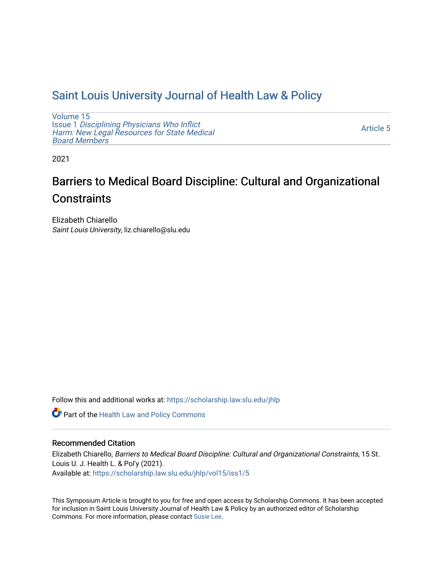# [Saint Louis University Journal of Health Law & Policy](https://scholarship.law.slu.edu/jhlp)

[Volume 15](https://scholarship.law.slu.edu/jhlp/vol15) Issue 1 [Disciplining Physicians Who Inflict](https://scholarship.law.slu.edu/jhlp/vol15/iss1)  [Harm: New Legal Resources for State Medical](https://scholarship.law.slu.edu/jhlp/vol15/iss1) [Board Members](https://scholarship.law.slu.edu/jhlp/vol15/iss1)

[Article 5](https://scholarship.law.slu.edu/jhlp/vol15/iss1/5) 

2021

# Barriers to Medical Board Discipline: Cultural and Organizational **Constraints**

Elizabeth Chiarello Saint Louis University, liz.chiarello@slu.edu

Follow this and additional works at: [https://scholarship.law.slu.edu/jhlp](https://scholarship.law.slu.edu/jhlp?utm_source=scholarship.law.slu.edu%2Fjhlp%2Fvol15%2Fiss1%2F5&utm_medium=PDF&utm_campaign=PDFCoverPages)

Part of the [Health Law and Policy Commons](http://network.bepress.com/hgg/discipline/901?utm_source=scholarship.law.slu.edu%2Fjhlp%2Fvol15%2Fiss1%2F5&utm_medium=PDF&utm_campaign=PDFCoverPages) 

# Recommended Citation

Elizabeth Chiarello, Barriers to Medical Board Discipline: Cultural and Organizational Constraints, 15 St. Louis U. J. Health L. & Pol'y (2021). Available at: [https://scholarship.law.slu.edu/jhlp/vol15/iss1/5](https://scholarship.law.slu.edu/jhlp/vol15/iss1/5?utm_source=scholarship.law.slu.edu%2Fjhlp%2Fvol15%2Fiss1%2F5&utm_medium=PDF&utm_campaign=PDFCoverPages) 

This Symposium Article is brought to you for free and open access by Scholarship Commons. It has been accepted for inclusion in Saint Louis University Journal of Health Law & Policy by an authorized editor of Scholarship Commons. For more information, please contact [Susie Lee](mailto:susie.lee@slu.edu).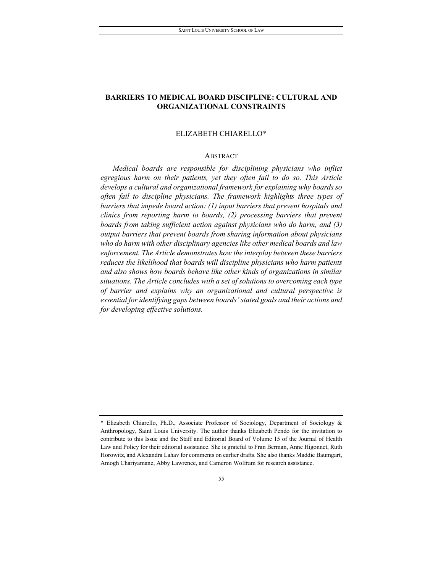# **BARRIERS TO MEDICAL BOARD DISCIPLINE: CULTURAL AND ORGANIZATIONAL CONSTRAINTS**

#### ELIZABETH CHIARELL[O\\*](#page-1-0)

#### ABSTRACT

*Medical boards are responsible for disciplining physicians who inflict egregious harm on their patients, yet they often fail to do so. This Article develops a cultural and organizational framework for explaining why boards so often fail to discipline physicians. The framework highlights three types of barriers that impede board action: (1) input barriers that prevent hospitals and clinics from reporting harm to boards, (2) processing barriers that prevent boards from taking sufficient action against physicians who do harm, and (3) output barriers that prevent boards from sharing information about physicians who do harm with other disciplinary agencies like other medical boards and law enforcement. The Article demonstrates how the interplay between these barriers reduces the likelihood that boards will discipline physicians who harm patients and also shows how boards behave like other kinds of organizations in similar situations. The Article concludes with a set of solutions to overcoming each type of barrier and explains why an organizational and cultural perspective is essential for identifying gaps between boards' stated goals and their actions and for developing effective solutions.* 

<span id="page-1-0"></span><sup>\*</sup> Elizabeth Chiarello, Ph.D., Associate Professor of Sociology, Department of Sociology & Anthropology, Saint Louis University. The author thanks Elizabeth Pendo for the invitation to contribute to this Issue and the Staff and Editorial Board of Volume 15 of the Journal of Health Law and Policy for their editorial assistance. She is grateful to Fran Berman, Anne Higonnet, Ruth Horowitz, and Alexandra Lahav for comments on earlier drafts. She also thanks Maddie Baumgart, Amogh Chariyamane, Abby Lawrence, and Cameron Wolfram for research assistance.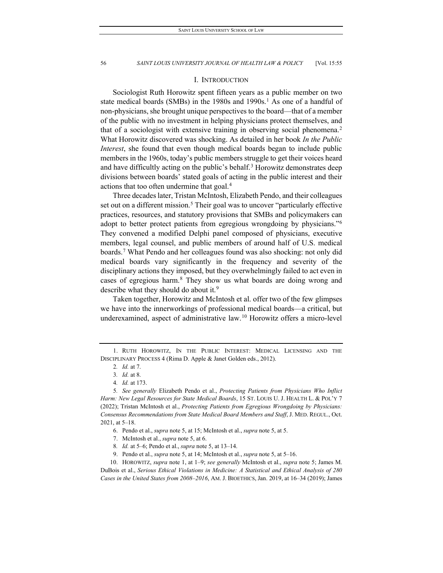#### I. INTRODUCTION

Sociologist Ruth Horowitz spent fifteen years as a public member on two state medical boards (SMBs) in the [1](#page-2-0)980s and 1990s.<sup>1</sup> As one of a handful of non-physicians, she brought unique perspectives to the board—that of a member of the public with no investment in helping physicians protect themselves, and that of a sociologist with extensive training in observing social phenomena[.2](#page-2-1) What Horowitz discovered was shocking. As detailed in her book *In the Public Interest*, she found that even though medical boards began to include public members in the 1960s, today's public members struggle to get their voices heard and have difficultly acting on the public's behalf.<sup>[3](#page-2-2)</sup> Horowitz demonstrates deep divisions between boards' stated goals of acting in the public interest and their actions that too often undermine that goal.[4](#page-2-3)

Three decades later, Tristan McIntosh, Elizabeth Pendo, and their colleagues set out on a different mission.<sup>[5](#page-2-4)</sup> Their goal was to uncover "particularly effective practices, resources, and statutory provisions that SMBs and policymakers can adopt to better protect patients from egregious wrongdoing by physicians."<sup>6</sup> They convened a modified Delphi panel composed of physicians, executive members, legal counsel, and public members of around half of U.S. medical boards.[7](#page-2-6) What Pendo and her colleagues found was also shocking: not only did medical boards vary significantly in the frequency and severity of the disciplinary actions they imposed, but they overwhelmingly failed to act even in cases of egregious harm.[8](#page-2-7) They show us what boards are doing wrong and describe what they should do about it.<sup>[9](#page-2-8)</sup>

Taken together, Horowitz and McIntosh et al. offer two of the few glimpses we have into the innerworkings of professional medical boards—a critical, but underexamined, aspect of administrative law.<sup>[10](#page-2-9)</sup> Horowitz offers a micro-level

<span id="page-2-9"></span><span id="page-2-8"></span><span id="page-2-7"></span><span id="page-2-6"></span><span id="page-2-5"></span>10. HOROWITZ, *supra* note 1, at 1–9; *see generally* McIntosh et al., *supra* note 5; James M. DuBois et al., *Serious Ethical Violations in Medicine: A Statistical and Ethical Analysis of 280 Cases in the United States from 2008–2016*, AM. J. BIOETHICS, Jan. 2019, at 16–34 (2019); James

<span id="page-2-1"></span><span id="page-2-0"></span><sup>1.</sup> RUTH HOROWITZ, IN THE PUBLIC INTEREST: MEDICAL LICENSING AND THE DISCIPLINARY PROCESS 4 (Rima D. Apple & Janet Golden eds., 2012).

<sup>2</sup>*. Id.* at 7.

<sup>3</sup>*. Id.* at 8.

<sup>4</sup>*. Id.* at 173.

<span id="page-2-4"></span><span id="page-2-3"></span><span id="page-2-2"></span><sup>5</sup>*. See generally* Elizabeth Pendo et al., *Protecting Patients from Physicians Who Inflict Harm: New Legal Resources for State Medical Boards*, 15 ST. LOUIS U. J. HEALTH L. & POL'Y 7 (2022); Tristan McIntosh et al., *Protecting Patients from Egregious Wrongdoing by Physicians: Consensus Recommendations from State Medical Board Members and Staff*, J. MED. REGUL., Oct. 2021, at 5–18.

<sup>6.</sup> Pendo et al., *supra* note 5, at 15; McIntosh et al., *supra* note 5, at 5.

<sup>7.</sup> McIntosh et al., *supra* note 5, at 6.

<sup>8</sup>*. Id.* at 5–6; Pendo et al., *supra* note 5, at 13–14.

<sup>9.</sup> Pendo et al., *supra* note 5, at 14; McIntosh et al., *supra* note 5, at 5–16.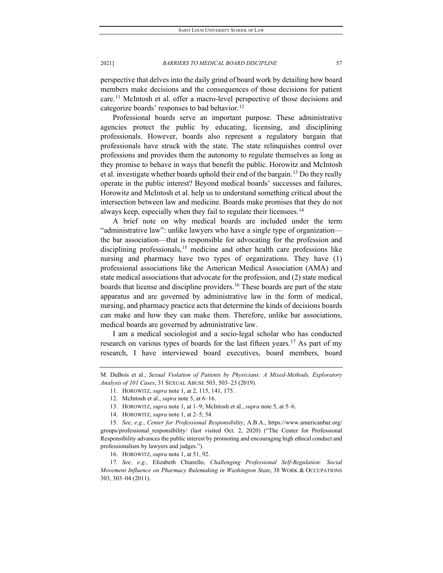perspective that delves into the daily grind of board work by detailing how board members make decisions and the consequences of those decisions for patient care.[11](#page-3-0) McIntosh et al. offer a macro-level perspective of those decisions and categorize boards' responses to bad behavior.[12](#page-3-1)

Professional boards serve an important purpose. These administrative agencies protect the public by educating, licensing, and disciplining professionals. However, boards also represent a regulatory bargain that professionals have struck with the state. The state relinquishes control over professions and provides them the autonomy to regulate themselves as long as they promise to behave in ways that benefit the public. Horowitz and McIntosh et al. investigate whether boards uphold their end of the bargain.<sup>[13](#page-3-2)</sup> Do they really operate in the public interest? Beyond medical boards' successes and failures, Horowitz and McIntosh et al. help us to understand something critical about the intersection between law and medicine. Boards make promises that they do not always keep, especially when they fail to regulate their licensees.<sup>[14](#page-3-3)</sup>

A brief note on why medical boards are included under the term "administrative law": unlike lawyers who have a single type of organization the bar association—that is responsible for advocating for the profession and disciplining professionals,<sup>[15](#page-3-4)</sup> medicine and other health care professions like nursing and pharmacy have two types of organizations. They have (1) professional associations like the American Medical Association (AMA) and state medical associations that advocate for the profession, and (2) state medical boards that license and discipline providers.<sup>[16](#page-3-5)</sup> These boards are part of the state apparatus and are governed by administrative law in the form of medical, nursing, and pharmacy practice acts that determine the kinds of decisions boards can make and how they can make them. Therefore, unlike bar associations, medical boards are governed by administrative law.

I am a medical sociologist and a socio-legal scholar who has conducted research on various types of boards for the last fifteen years.<sup>[17](#page-3-6)</sup> As part of my research, I have interviewed board executives, board members, board

16. HOROWITZ, *supra* note 1, at 51, 92.

<span id="page-3-6"></span><span id="page-3-5"></span>17*. See, e.g.*, Elizabeth Chiarello, *Challenging Professional Self-Regulation: Social Movement Influence on Pharmacy Rulemaking in Washington State*, 38 WORK & OCCUPATIONS 303, 303–04 (2011).

<span id="page-3-1"></span><span id="page-3-0"></span>M. DuBois et al., *Sexual Violation of Patients by Physicians: A Mixed-Methods, Exploratory Analysis of 101 Cases*, 31 SEXUAL ABUSE 503, 503–23 (2019).

<sup>11.</sup> HOROWITZ, *supra* note 1, at 2, 115, 141, 175.

<sup>12.</sup> McIntosh et al., *supra* note 5, at 6–16.

<sup>13.</sup> HOROWITZ, *supra* note 1, at 1–9; McIntosh et al., *supra* note 5, at 5–6.

<sup>14.</sup> HOROWITZ, *supra* note 1, at 2–5, 54.

<span id="page-3-4"></span><span id="page-3-3"></span><span id="page-3-2"></span><sup>15</sup>*. See, e.g.*, *Center for Professional Responsibility*, A.B.A., https://www.americanbar.org/ groups/professional responsibility/ (last visited Oct. 2, 2020) ("The Center for Professional Responsibility advances the public interest by promoting and encouraging high ethical conduct and professionalism by lawyers and judges.").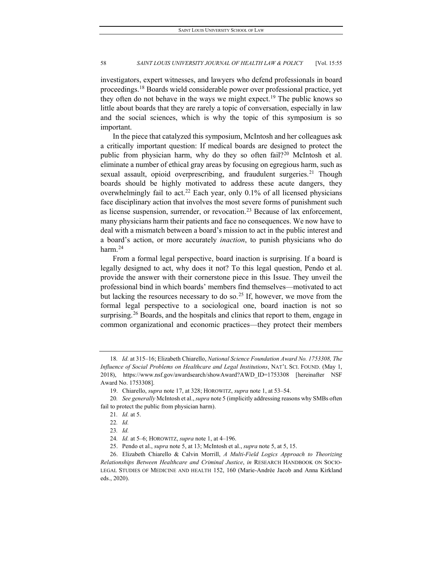investigators, expert witnesses, and lawyers who defend professionals in board proceedings.[18](#page-4-0) Boards wield considerable power over professional practice, yet they often do not behave in the ways we might expect.<sup>[19](#page-4-1)</sup> The public knows so little about boards that they are rarely a topic of conversation, especially in law and the social sciences, which is why the topic of this symposium is so important.

In the piece that catalyzed this symposium, McIntosh and her colleagues ask a critically important question: If medical boards are designed to protect the public from physician harm, why do they so often fail?<sup>[20](#page-4-2)</sup> McIntosh et al. eliminate a number of ethical gray areas by focusing on egregious harm, such as sexual assault, opioid overprescribing, and fraudulent surgeries.<sup>[21](#page-4-3)</sup> Though boards should be highly motivated to address these acute dangers, they overwhelmingly fail to act.<sup>[22](#page-4-4)</sup> Each year, only  $0.1\%$  of all licensed physicians face disciplinary action that involves the most severe forms of punishment such as license suspension, surrender, or revocation.<sup>[23](#page-4-5)</sup> Because of lax enforcement, many physicians harm their patients and face no consequences. We now have to deal with a mismatch between a board's mission to act in the public interest and a board's action, or more accurately *inaction*, to punish physicians who do harm.<sup>[24](#page-4-6)</sup>

From a formal legal perspective, board inaction is surprising. If a board is legally designed to act, why does it not? To this legal question, Pendo et al. provide the answer with their cornerstone piece in this Issue. They unveil the professional bind in which boards' members find themselves—motivated to act but lacking the resources necessary to do so.<sup>[25](#page-4-7)</sup> If, however, we move from the formal legal perspective to a sociological one, board inaction is not so surprising.<sup>[26](#page-4-8)</sup> Boards, and the hospitals and clinics that report to them, engage in common organizational and economic practices—they protect their members

<span id="page-4-0"></span><sup>18</sup>*. Id.* at 315–16; Elizabeth Chiarello, *National Science Foundation Award No. 1753308, The Influence of Social Problems on Healthcare and Legal Institutions*, NAT'L SCI. FOUND. (May 1, 2018), https://www.nsf.gov/awardsearch/showAward?AWD\_ID=1753308 [hereinafter NSF Award No. 1753308].

<sup>19.</sup> Chiarello, *supra* note 17, at 328; HOROWITZ, *supra* note 1, at 53–54.

<span id="page-4-4"></span><span id="page-4-3"></span><span id="page-4-2"></span><span id="page-4-1"></span><sup>20</sup>*. See generally* McIntosh et al., *supra* note 5 (implicitly addressing reasons why SMBs often fail to protect the public from physician harm).

<sup>21</sup>*. Id.* at 5.

<sup>22</sup>*. Id.*

<sup>23</sup>*. Id.*

<sup>24</sup>*. Id.* at 5–6; HOROWITZ, *supra* note 1, at 4–196.

<sup>25.</sup> Pendo et al., *supra* note 5, at 13; McIntosh et al., *supra* note 5, at 5, 15.

<span id="page-4-8"></span><span id="page-4-7"></span><span id="page-4-6"></span><span id="page-4-5"></span><sup>26.</sup> Elizabeth Chiarello & Calvin Morrill, *A Multi-Field Logics Approach to Theorizing Relationships Between Healthcare and Criminal Justice*, *in* RESEARCH HANDBOOK ON SOCIO-LEGAL STUDIES OF MEDICINE AND HEALTH 152, 160 (Marie-Andrée Jacob and Anna Kirkland eds., 2020).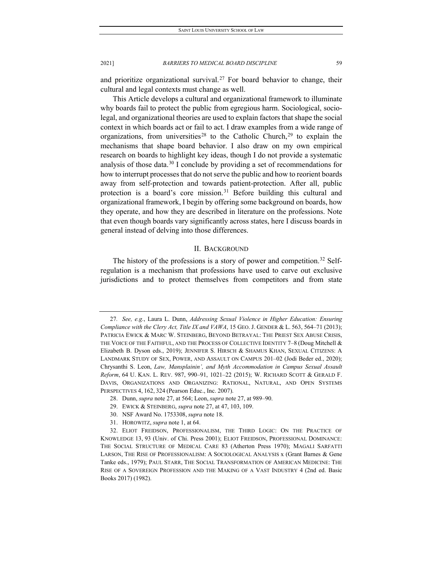and prioritize organizational survival.<sup>[27](#page-5-0)</sup> For board behavior to change, their cultural and legal contexts must change as well.

This Article develops a cultural and organizational framework to illuminate why boards fail to protect the public from egregious harm. Sociological, sociolegal, and organizational theories are used to explain factors that shape the social context in which boards act or fail to act. I draw examples from a wide range of organizations, from universities<sup>[28](#page-5-1)</sup> to the Catholic Church,<sup>[29](#page-5-2)</sup> to explain the mechanisms that shape board behavior. I also draw on my own empirical research on boards to highlight key ideas, though I do not provide a systematic analysis of those data.<sup>[30](#page-5-3)</sup> I conclude by providing a set of recommendations for how to interrupt processes that do not serve the public and how to reorient boards away from self-protection and towards patient-protection. After all, public protection is a board's core mission.<sup>[31](#page-5-4)</sup> Before building this cultural and organizational framework, I begin by offering some background on boards, how they operate, and how they are described in literature on the professions. Note that even though boards vary significantly across states, here I discuss boards in general instead of delving into those differences.

#### II. BACKGROUND

The history of the professions is a story of power and competition.<sup>[32](#page-5-5)</sup> Selfregulation is a mechanism that professions have used to carve out exclusive jurisdictions and to protect themselves from competitors and from state

<span id="page-5-0"></span><sup>27</sup>*. See, e.g.*, Laura L. Dunn, *Addressing Sexual Violence in Higher Education: Ensuring Compliance with the Clery Act, Title IX and VAWA*, 15 GEO. J. GENDER & L. 563, 564–71 (2013); PATRICIA EWICK & MARC W. STEINBERG, BEYOND BETRAYAL: THE PRIEST SEX ABUSE CRISIS, THE VOICE OF THE FAITHFUL, AND THE PROCESS OF COLLECTIVE IDENTITY 7–8 (Doug Mitchell & Elizabeth B. Dyson eds., 2019); JENNIFER S. HIRSCH & SHAMUS KHAN, SEXUAL CITIZENS: A LANDMARK STUDY OF SEX, POWER, AND ASSAULT ON CAMPUS 201–02 (Jodi Beder ed., 2020); Chrysanthi S. Leon, *Law, Mansplainin', and Myth Accommodation in Campus Sexual Assault Reform*, 64 U. KAN. L. REV. 987, 990–91, 1021–22 (2015); W. RICHARD SCOTT & GERALD F. DAVIS, ORGANIZATIONS AND ORGANIZING: RATIONAL, NATURAL, AND OPEN SYSTEMS PERSPECTIVES 4, 162, 324 (Pearson Educ., Inc. 2007).

<sup>28.</sup> Dunn, *supra* note 27, at 564; Leon, *supra* note 27, at 989–90.

<sup>29.</sup> EWICK & STEINBERG, *supra* note 27, at 47, 103, 109.

<sup>30.</sup> NSF Award No. 1753308, *supra* note 18.

<sup>31.</sup> HOROWITZ, *supra* note 1, at 64.

<span id="page-5-5"></span><span id="page-5-4"></span><span id="page-5-3"></span><span id="page-5-2"></span><span id="page-5-1"></span><sup>32.</sup> ELIOT FREIDSON, PROFESSIONALISM, THE THIRD LOGIC: ON THE PRACTICE OF KNOWLEDGE 13, 93 (Univ. of Chi. Press 2001); ELIOT FREIDSON, PROFESSIONAL DOMINANCE: THE SOCIAL STRUCTURE OF MEDICAL CARE 83 (Atherton Press 1970); MAGALI SARFATTI LARSON, THE RISE OF PROFESSIONALISM: A SOCIOLOGICAL ANALYSIS x (Grant Barnes & Gene Tanke eds., 1979); PAUL STARR, THE SOCIAL TRANSFORMATION OF AMERICAN MEDICINE: THE RISE OF A SOVEREIGN PROFESSION AND THE MAKING OF A VAST INDUSTRY 4 (2nd ed. Basic Books 2017) (1982).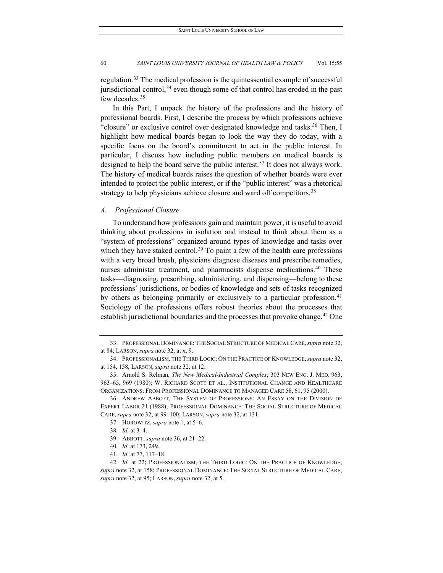regulation.[33](#page-6-0) The medical profession is the quintessential example of successful jurisdictional control,  $34$  even though some of that control has eroded in the past few decades.<sup>[35](#page-6-2)</sup>

In this Part, I unpack the history of the professions and the history of professional boards. First, I describe the process by which professions achieve "closure" or exclusive control over designated knowledge and tasks.<sup>[36](#page-6-3)</sup> Then, I highlight how medical boards began to look the way they do today, with a specific focus on the board's commitment to act in the public interest. In particular, I discuss how including public members on medical boards is designed to help the board serve the public interest.[37](#page-6-4) It does not always work. The history of medical boards raises the question of whether boards were ever intended to protect the public interest, or if the "public interest" was a rhetorical strategy to help physicians achieve closure and ward off competitors.<sup>[38](#page-6-5)</sup>

## *A. Professional Closure*

To understand how professions gain and maintain power, it is useful to avoid thinking about professions in isolation and instead to think about them as a "system of professions" organized around types of knowledge and tasks over which they have staked control.<sup>[39](#page-6-6)</sup> To paint a few of the health care professions with a very broad brush, physicians diagnose diseases and prescribe remedies, nurses administer treatment, and pharmacists dispense medications.<sup>[40](#page-6-7)</sup> These tasks—diagnosing, prescribing, administering, and dispensing—belong to these professions' jurisdictions, or bodies of knowledge and sets of tasks recognized by others as belonging primarily or exclusively to a particular profession.<sup>[41](#page-6-8)</sup> Sociology of the professions offers robust theories about the processes that establish jurisdictional boundaries and the processes that provoke change.<sup>[42](#page-6-9)</sup> One

38*. Id.* at 3–4.

<span id="page-6-0"></span><sup>33.</sup> PROFESSIONAL DOMINANCE: THE SOCIAL STRUCTURE OF MEDICAL CARE,*supra* note 32, at 84; LARSON, *supra* note 32, at x, 9.

<span id="page-6-1"></span><sup>34.</sup> PROFESSIONALISM, THE THIRD LOGIC: ON THE PRACTICE OF KNOWLEDGE,*supra* note 32, at 154, 158; LARSON, *supra* note 32, at 12.

<span id="page-6-2"></span><sup>35.</sup> Arnold S. Relman, *The New Medical-Industrial Complex*, 303 NEW ENG. J. MED. 963, 963–65, 969 (1980); W. RICHARD SCOTT ET AL., INSTITUTIONAL CHANGE AND HEALTHCARE ORGANIZATIONS: FROM PROFESSIONAL DOMINANCE TO MANAGED CARE 58, 61, 95 (2000).

<span id="page-6-5"></span><span id="page-6-4"></span><span id="page-6-3"></span><sup>36.</sup> ANDREW ABBOTT, THE SYSTEM OF PROFESSIONS: AN ESSAY ON THE DIVISION OF EXPERT LABOR 21 (1988); PROFESSIONAL DOMINANCE: THE SOCIAL STRUCTURE OF MEDICAL CARE, *supra* note 32, at 99–100; LARSON, *supra* note 32, at 131.

<sup>37.</sup> HOROWITZ, *supra* note 1, at 5–6.

<sup>39.</sup> ABBOTT, *supra* note 36, at 21–22.

<sup>40</sup>*. Id.* at 173, 249.

<sup>41</sup>*. Id.* at 77, 117–18.

<span id="page-6-9"></span><span id="page-6-8"></span><span id="page-6-7"></span><span id="page-6-6"></span><sup>42</sup>*. Id.* at 22; PROFESSIONALISM, THE THIRD LOGIC: ON THE PRACTICE OF KNOWLEDGE, *supra* note 32, at 158; PROFESSIONAL DOMINANCE: THE SOCIAL STRUCTURE OF MEDICAL CARE, *supra* note 32, at 95; LARSON, *supra* note 32, at 5.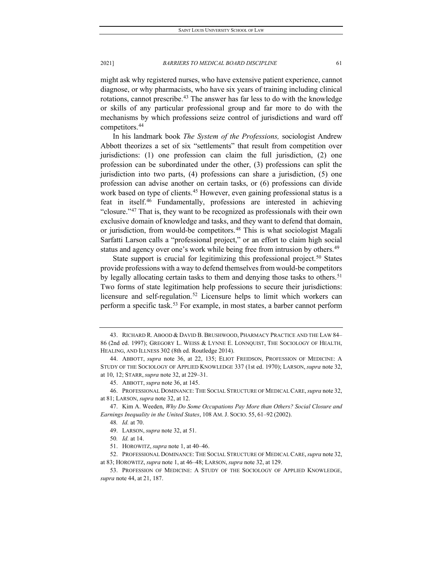might ask why registered nurses, who have extensive patient experience, cannot diagnose, or why pharmacists, who have six years of training including clinical rotations, cannot prescribe.<sup>[43](#page-7-0)</sup> The answer has far less to do with the knowledge or skills of any particular professional group and far more to do with the mechanisms by which professions seize control of jurisdictions and ward off competitors.[44](#page-7-1)

In his landmark book *The System of the Professions,* sociologist Andrew Abbott theorizes a set of six "settlements" that result from competition over jurisdictions: (1) one profession can claim the full jurisdiction, (2) one profession can be subordinated under the other, (3) professions can split the jurisdiction into two parts, (4) professions can share a jurisdiction, (5) one profession can advise another on certain tasks, or (6) professions can divide work based on type of clients.<sup>[45](#page-7-2)</sup> However, even gaining professional status is a feat in itself.[46](#page-7-3) Fundamentally, professions are interested in achieving "closure."[47](#page-7-4) That is, they want to be recognized as professionals with their own exclusive domain of knowledge and tasks, and they want to defend that domain, or jurisdiction, from would-be competitors.<sup>[48](#page-7-5)</sup> This is what sociologist Magali Sarfatti Larson calls a "professional project," or an effort to claim high social status and agency over one's work while being free from intrusion by others.<sup>[49](#page-7-6)</sup>

State support is crucial for legitimizing this professional project.<sup>[50](#page-7-7)</sup> States provide professions with a way to defend themselves from would-be competitors by legally allocating certain tasks to them and denying those tasks to others.<sup>[51](#page-7-8)</sup> Two forms of state legitimation help professions to secure their jurisdictions: licensure and self-regulation.<sup>[52](#page-7-9)</sup> Licensure helps to limit which workers can perform a specific task.<sup>[53](#page-7-10)</sup> For example, in most states, a barber cannot perform

- 49. LARSON, *supra* note 32, at 51.
- 50*. Id.* at 14.
- 51. HOROWITZ, *supra* note 1, at 40–46.

<span id="page-7-0"></span><sup>43.</sup> RICHARD R. ABOOD & DAVID B. BRUSHWOOD, PHARMACY PRACTICE AND THE LAW 84– 86 (2nd ed. 1997); GREGORY L. WEISS & LYNNE E. LONNQUIST, THE SOCIOLOGY OF HEALTH, HEALING, AND ILLNESS 302 (8th ed. Routledge 2014).

<span id="page-7-1"></span><sup>44.</sup> ABBOTT, *supra* note 36, at 22, 135; ELIOT FREIDSON, PROFESSION OF MEDICINE: A STUDY OF THE SOCIOLOGY OF APPLIED KNOWLEDGE 337 (1st ed. 1970); LARSON, *supra* note 32, at 10, 12; STARR, *supra* note 32, at 229–31.

<sup>45.</sup> ABBOTT, *supra* note 36, at 145.

<span id="page-7-3"></span><span id="page-7-2"></span><sup>46.</sup> PROFESSIONAL DOMINANCE: THE SOCIAL STRUCTURE OF MEDICAL CARE,*supra* note 32, at 81; LARSON, *supra* note 32, at 12.

<span id="page-7-6"></span><span id="page-7-5"></span><span id="page-7-4"></span><sup>47.</sup> Kim A. Weeden, *Why Do Some Occupations Pay More than Others? Social Closure and Earnings Inequality in the United States*, 108 AM. J. SOCIO. 55, 61–92 (2002).

<sup>48</sup>*. Id.* at 70.

<span id="page-7-9"></span><span id="page-7-8"></span><span id="page-7-7"></span><sup>52.</sup> PROFESSIONAL DOMINANCE: THE SOCIAL STRUCTURE OF MEDICAL CARE,*supra* note 32, at 83; HOROWITZ, *supra* note 1, at 46–48; LARSON, *supra* note 32, at 129.

<span id="page-7-10"></span><sup>53.</sup> PROFESSION OF MEDICINE: A STUDY OF THE SOCIOLOGY OF APPLIED KNOWLEDGE, *supra* note 44, at 21, 187.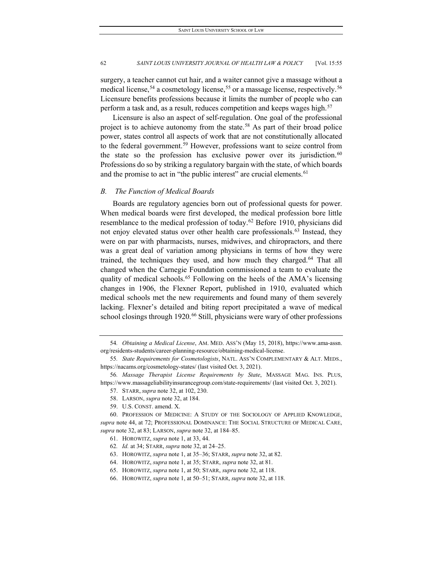surgery, a teacher cannot cut hair, and a waiter cannot give a massage without a medical license,  $54$  a cosmetology license,  $55$  or a massage license, respectively.  $56$ Licensure benefits professions because it limits the number of people who can perform a task and, as a result, reduces competition and keeps wages high.<sup>[57](#page-8-3)</sup>

Licensure is also an aspect of self-regulation. One goal of the professional project is to achieve autonomy from the state.<sup>[58](#page-8-4)</sup> As part of their broad police power, states control all aspects of work that are not constitutionally allocated to the federal government.<sup>[59](#page-8-5)</sup> However, professions want to seize control from the state so the profession has exclusive power over its jurisdiction. $60$ Professions do so by striking a regulatory bargain with the state, of which boards and the promise to act in "the public interest" are crucial elements.<sup>[61](#page-8-7)</sup>

## *B. The Function of Medical Boards*

Boards are regulatory agencies born out of professional quests for power. When medical boards were first developed, the medical profession bore little resemblance to the medical profession of today.<sup>62</sup> Before 1910, physicians did not enjoy elevated status over other health care professionals.<sup>[63](#page-8-9)</sup> Instead, they were on par with pharmacists, nurses, midwives, and chiropractors, and there was a great deal of variation among physicians in terms of how they were trained, the techniques they used, and how much they charged.<sup>[64](#page-8-10)</sup> That all changed when the Carnegie Foundation commissioned a team to evaluate the quality of medical schools.<sup>[65](#page-8-11)</sup> Following on the heels of the AMA's licensing changes in 1906, the Flexner Report, published in 1910, evaluated which medical schools met the new requirements and found many of them severely lacking. Flexner's detailed and biting report precipitated a wave of medical school closings through 1920.<sup>[66](#page-8-12)</sup> Still, physicians were wary of other professions

59. U.S. CONST. amend. X.

<span id="page-8-0"></span><sup>54</sup>*. Obtaining a Medical License*, AM. MED. ASS'N (May 15, 2018), https://www.ama-assn. org/residents-students/career-planning-resource/obtaining-medical-license.

<span id="page-8-1"></span><sup>55</sup>*. State Requirements for Cosmetologists*, NATL. ASS'N COMPLEMENTARY & ALT. MEDS., https://nacams.org/cosmetology-states/ (last visited Oct. 3, 2021).

<span id="page-8-3"></span><span id="page-8-2"></span><sup>56</sup>*. Massage Therapist License Requirements by State*, MASSAGE MAG. INS. PLUS, https://www.massageliabilityinsurancegroup.com/state-requirements/ (last visited Oct. 3, 2021).

<sup>57.</sup> STARR, *supra* note 32, at 102, 230.

<sup>58.</sup> LARSON, *supra* note 32, at 184.

<span id="page-8-9"></span><span id="page-8-8"></span><span id="page-8-7"></span><span id="page-8-6"></span><span id="page-8-5"></span><span id="page-8-4"></span><sup>60.</sup> PROFESSION OF MEDICINE: A STUDY OF THE SOCIOLOGY OF APPLIED KNOWLEDGE, *supra* note 44, at 72; PROFESSIONAL DOMINANCE: THE SOCIAL STRUCTURE OF MEDICAL CARE, *supra* note 32, at 83; LARSON, *supra* note 32, at 184–85.

<sup>61.</sup> HOROWITZ, *supra* note 1, at 33, 44.

<sup>62</sup>*. Id.* at 34; STARR, *supra* note 32, at 24–25.

<sup>63.</sup> HOROWITZ, *supra* note 1, at 35–36; STARR, *supra* note 32, at 82.

<span id="page-8-10"></span><sup>64.</sup> HOROWITZ, *supra* note 1, at 35; STARR, *supra* note 32, at 81.

<span id="page-8-12"></span><span id="page-8-11"></span><sup>65.</sup> HOROWITZ, *supra* note 1, at 50; STARR, *supra* note 32, at 118.

<sup>66.</sup> HOROWITZ, *supra* note 1, at 50–51; STARR, *supra* note 32, at 118.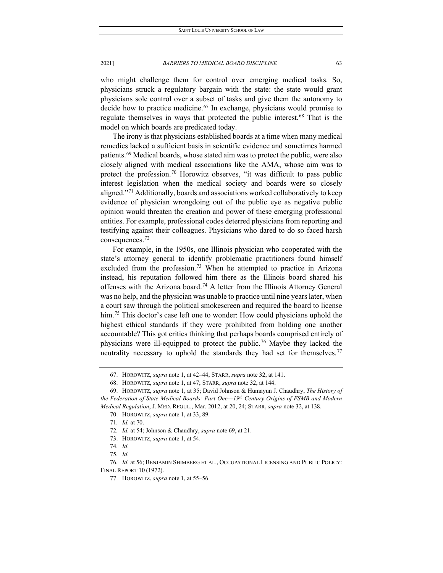who might challenge them for control over emerging medical tasks. So, physicians struck a regulatory bargain with the state: the state would grant physicians sole control over a subset of tasks and give them the autonomy to decide how to practice medicine.<sup>[67](#page-9-0)</sup> In exchange, physicians would promise to regulate themselves in ways that protected the public interest.<sup>[68](#page-9-1)</sup> That is the model on which boards are predicated today.

The irony is that physicians established boards at a time when many medical remedies lacked a sufficient basis in scientific evidence and sometimes harmed patients.[69](#page-9-2) Medical boards, whose stated aim was to protect the public, were also closely aligned with medical associations like the AMA, whose aim was to protect the profession.<sup>[70](#page-9-3)</sup> Horowitz observes, "it was difficult to pass public interest legislation when the medical society and boards were so closely aligned."[71](#page-9-4) Additionally, boards and associations worked collaboratively to keep evidence of physician wrongdoing out of the public eye as negative public opinion would threaten the creation and power of these emerging professional entities. For example, professional codes deterred physicians from reporting and testifying against their colleagues. Physicians who dared to do so faced harsh consequences.[72](#page-9-5)

For example, in the 1950s, one Illinois physician who cooperated with the state's attorney general to identify problematic practitioners found himself excluded from the profession.<sup>[73](#page-9-6)</sup> When he attempted to practice in Arizona instead, his reputation followed him there as the Illinois board shared his offenses with the Arizona board.<sup>[74](#page-9-7)</sup> A letter from the Illinois Attorney General was no help, and the physician was unable to practice until nine years later, when a court saw through the political smokescreen and required the board to license him.<sup>[75](#page-9-8)</sup> This doctor's case left one to wonder: How could physicians uphold the highest ethical standards if they were prohibited from holding one another accountable? This got critics thinking that perhaps boards comprised entirely of physicians were ill-equipped to protect the public.<sup>[76](#page-9-9)</sup> Maybe they lacked the neutrality necessary to uphold the standards they had set for themselves.<sup>[77](#page-9-10)</sup>

<sup>67.</sup> HOROWITZ, *supra* note 1, at 42–44; STARR, *supra* note 32, at 141.

<sup>68.</sup> HOROWITZ, *supra* note 1, at 47; STARR, *supra* note 32, at 144.

<span id="page-9-4"></span><span id="page-9-3"></span><span id="page-9-2"></span><span id="page-9-1"></span><span id="page-9-0"></span><sup>69.</sup> HOROWITZ, *supra* note 1, at 35; David Johnson & Humayun J. Chaudhry, *The History of the Federation of State Medical Boards: Part One—19th Century Origins of FSMB and Modern Medical Regulation*, J. MED. REGUL., Mar. 2012, at 20, 24; STARR, *supra* note 32, at 138.

<sup>70.</sup> HOROWITZ, *supra* note 1, at 33, 89.

<sup>71</sup>*. Id.* at 70.

<sup>72</sup>*. Id.* at 54; Johnson & Chaudhry, *supra* note 69, at 21.

<sup>73.</sup> HOROWITZ, *supra* note 1, at 54.

<sup>74</sup>*. Id.*

<sup>75</sup>*. Id.*

<span id="page-9-10"></span><span id="page-9-9"></span><span id="page-9-8"></span><span id="page-9-7"></span><span id="page-9-6"></span><span id="page-9-5"></span><sup>76</sup>*. Id.* at 56; BENJAMIN SHIMBERG ET AL., OCCUPATIONAL LICENSING AND PUBLIC POLICY: FINAL REPORT 10 (1972).

<sup>77.</sup> HOROWITZ, *supra* note 1, at 55–56.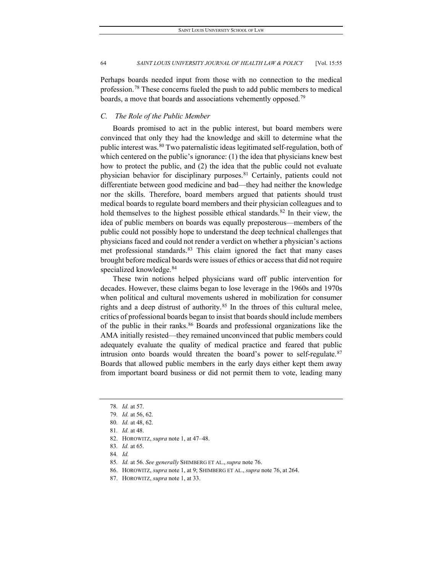Perhaps boards needed input from those with no connection to the medical profession.[78](#page-10-0) These concerns fueled the push to add public members to medical boards, a move that boards and associations vehemently opposed.<sup>[79](#page-10-1)</sup>

## *C. The Role of the Public Member*

Boards promised to act in the public interest, but board members were convinced that only they had the knowledge and skill to determine what the public interest was.<sup>[80](#page-10-2)</sup> Two paternalistic ideas legitimated self-regulation, both of which centered on the public's ignorance: (1) the idea that physicians knew best how to protect the public, and (2) the idea that the public could not evaluate physician behavior for disciplinary purposes.<sup>81</sup> Certainly, patients could not differentiate between good medicine and bad—they had neither the knowledge nor the skills. Therefore, board members argued that patients should trust medical boards to regulate board members and their physician colleagues and to hold themselves to the highest possible ethical standards.<sup>[82](#page-10-4)</sup> In their view, the idea of public members on boards was equally preposterous—members of the public could not possibly hope to understand the deep technical challenges that physicians faced and could not render a verdict on whether a physician's actions met professional standards.<sup>83</sup> This claim ignored the fact that many cases brought before medical boards were issues of ethics or access that did not require specialized knowledge.<sup>[84](#page-10-6)</sup>

These twin notions helped physicians ward off public intervention for decades. However, these claims began to lose leverage in the 1960s and 1970s when political and cultural movements ushered in mobilization for consumer rights and a deep distrust of authority. $85$  In the throes of this cultural melee, critics of professional boards began to insist that boards should include members of the public in their ranks.<sup>[86](#page-10-8)</sup> Boards and professional organizations like the AMA initially resisted—they remained unconvinced that public members could adequately evaluate the quality of medical practice and feared that public intrusion onto boards would threaten the board's power to self-regulate. $87$ Boards that allowed public members in the early days either kept them away from important board business or did not permit them to vote, leading many

- <span id="page-10-8"></span><span id="page-10-7"></span>85*. Id.* at 56. *See generally* SHIMBERG ET AL., *supra* note 76.
- 86. HOROWITZ, *supra* note 1, at 9; SHIMBERG ET AL., *supra* note 76, at 264.
- <span id="page-10-9"></span>87. HOROWITZ, *supra* note 1, at 33.

<span id="page-10-0"></span><sup>78</sup>*. Id.* at 57.

<span id="page-10-1"></span><sup>79</sup>*. Id.* at 56, 62.

<span id="page-10-2"></span><sup>80</sup>*. Id.* at 48, 62.

<sup>81</sup>*. Id.* at 48.

<span id="page-10-5"></span><span id="page-10-4"></span><span id="page-10-3"></span><sup>82.</sup> HOROWITZ, *supra* note 1, at 47–48.

<span id="page-10-6"></span><sup>83</sup>*. Id.* at 65.

<sup>84</sup>*. Id.*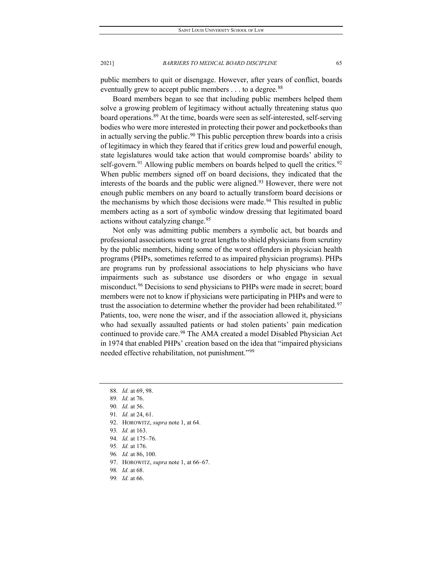public members to quit or disengage. However, after years of conflict, boards eventually grew to accept public members  $\dots$  to a degree.<sup>[88](#page-11-0)</sup>

Board members began to see that including public members helped them solve a growing problem of legitimacy without actually threatening status quo board operations.<sup>[89](#page-11-1)</sup> At the time, boards were seen as self-interested, self-serving bodies who were more interested in protecting their power and pocketbooks than in actually serving the public.<sup>[90](#page-11-2)</sup> This public perception threw boards into a crisis of legitimacy in which they feared that if critics grew loud and powerful enough, state legislatures would take action that would compromise boards' ability to self-govern.<sup>[91](#page-11-3)</sup> Allowing public members on boards helped to quell the critics.<sup>[92](#page-11-4)</sup> When public members signed off on board decisions, they indicated that the interests of the boards and the public were aligned[.93](#page-11-5) However, there were not enough public members on any board to actually transform board decisions or the mechanisms by which those decisions were made.<sup>[94](#page-11-6)</sup> This resulted in public members acting as a sort of symbolic window dressing that legitimated board actions without catalyzing change.<sup>[95](#page-11-7)</sup>

Not only was admitting public members a symbolic act, but boards and professional associations went to great lengths to shield physicians from scrutiny by the public members, hiding some of the worst offenders in physician health programs (PHPs, sometimes referred to as impaired physician programs). PHPs are programs run by professional associations to help physicians who have impairments such as substance use disorders or who engage in sexual misconduct.<sup>[96](#page-11-8)</sup> Decisions to send physicians to PHPs were made in secret; board members were not to know if physicians were participating in PHPs and were to trust the association to determine whether the provider had been rehabilitated.<sup>[97](#page-11-9)</sup> Patients, too, were none the wiser, and if the association allowed it, physicians who had sexually assaulted patients or had stolen patients' pain medication continued to provide care.<sup>[98](#page-11-10)</sup> The AMA created a model Disabled Physician Act in 1974 that enabled PHPs' creation based on the idea that "impaired physicians needed effective rehabilitation, not punishment."[99](#page-11-11)

- 92. HOROWITZ, *supra* note 1, at 64.
- <span id="page-11-6"></span><span id="page-11-5"></span>93*. Id.* at 163.
- 94*. Id.* at 175–76.
- <span id="page-11-7"></span>95*. Id.* at 176.
- <span id="page-11-8"></span>96*. Id.* at 86, 100.
- <span id="page-11-10"></span><span id="page-11-9"></span>97. HOROWITZ, *supra* note 1, at 66–67.
- 98*. Id.* at 68.
- <span id="page-11-11"></span>99*. Id.* at 66.

<sup>88</sup>*. Id.* at 69, 98.

<span id="page-11-2"></span><span id="page-11-1"></span><span id="page-11-0"></span><sup>89</sup>*. Id.* at 76.

<sup>90</sup>*. Id.* at 56.

<span id="page-11-4"></span><span id="page-11-3"></span><sup>91</sup>*. Id.* at 24, 61.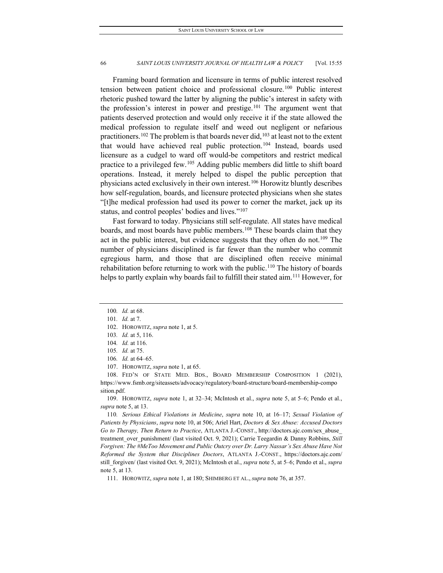Framing board formation and licensure in terms of public interest resolved tension between patient choice and professional closure.[100](#page-12-0) Public interest rhetoric pushed toward the latter by aligning the public's interest in safety with the profession's interest in power and prestige.<sup>[101](#page-12-1)</sup> The argument went that patients deserved protection and would only receive it if the state allowed the medical profession to regulate itself and weed out negligent or nefarious practitioners.<sup>[102](#page-12-2)</sup> The problem is that boards never did,<sup>[103](#page-12-3)</sup> at least not to the extent that would have achieved real public protection.<sup>[104](#page-12-4)</sup> Instead, boards used licensure as a cudgel to ward off would-be competitors and restrict medical practice to a privileged few.[105](#page-12-5) Adding public members did little to shift board operations. Instead, it merely helped to dispel the public perception that physicians acted exclusively in their own interest.[106](#page-12-6) Horowitz bluntly describes how self-regulation, boards, and licensure protected physicians when she states "[t]he medical profession had used its power to corner the market, jack up its status, and control peoples' bodies and lives."[107](#page-12-7)

Fast forward to today. Physicians still self-regulate. All states have medical boards, and most boards have public members.<sup>[108](#page-12-8)</sup> These boards claim that they act in the public interest, but evidence suggests that they often do not.<sup>[109](#page-12-9)</sup> The number of physicians disciplined is far fewer than the number who commit egregious harm, and those that are disciplined often receive minimal rehabilitation before returning to work with the public.<sup>[110](#page-12-10)</sup> The history of boards helps to partly explain why boards fail to fulfill their stated aim.<sup>[111](#page-12-11)</sup> However, for

107. HOROWITZ, *supra* note 1, at 65.

<span id="page-12-8"></span><span id="page-12-7"></span><span id="page-12-6"></span><span id="page-12-5"></span><span id="page-12-4"></span>108. FED'N OF STATE MED. BDS., BOARD MEMBERSHIP COMPOSITION 1 (2021), https://www.fsmb.org/siteassets/advocacy/regulatory/board-structure/board-membership-compo sition.pdf.

<span id="page-12-9"></span>109. HOROWITZ, *supra* note 1, at 32–34; McIntosh et al., *supra* note 5, at 5–6; Pendo et al., *supra* note 5, at 13.

<span id="page-12-10"></span>110*. Serious Ethical Violations in Medicine*, *supra* note 10, at 16–17; *Sexual Violation of Patients by Physicians*, *supra* note 10, at 506; Ariel Hart, *Doctors & Sex Abuse: Accused Doctors Go to Therapy, Then Return to Practice*, ATLANTA J.-CONST., http://doctors.ajc.com/sex\_abuse\_ treatment\_over\_punishment/ (last visited Oct. 9, 2021); Carrie Teegardin & Danny Robbins, *Still Forgiven: The #MeToo Movement and Public Outcry over Dr. Larry Nassar's Sex Abuse Have Not Reformed the System that Disciplines Doctors*, ATLANTA J.-CONST., https://doctors.ajc.com/ still\_forgiven/ (last visited Oct. 9, 2021); McIntosh et al., *supra* note 5, at 5–6; Pendo et al., *supra* note 5, at 13.

<span id="page-12-11"></span>111. HOROWITZ, *supra* note 1, at 180; SHIMBERG ET AL., *supra* note 76, at 357.

<sup>100</sup>*. Id.* at 68.

<span id="page-12-2"></span><span id="page-12-1"></span><span id="page-12-0"></span><sup>101</sup>*. Id.* at 7.

<span id="page-12-3"></span><sup>102.</sup> HOROWITZ, *supra* note 1, at 5.

<sup>103</sup>*. Id.* at 5, 116.

<sup>104</sup>*. Id.* at 116.

<sup>105</sup>*. Id.* at 75.

<sup>106</sup>*. Id.* at 64–65.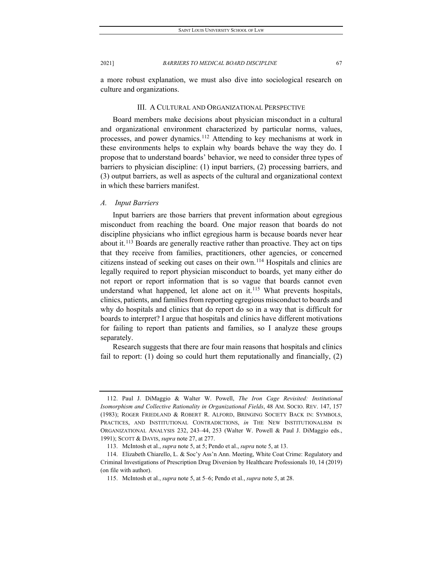a more robust explanation, we must also dive into sociological research on culture and organizations.

## III. A CULTURAL AND ORGANIZATIONAL PERSPECTIVE

Board members make decisions about physician misconduct in a cultural and organizational environment characterized by particular norms, values, processes, and power dynamics.[112](#page-13-0) Attending to key mechanisms at work in these environments helps to explain why boards behave the way they do. I propose that to understand boards' behavior, we need to consider three types of barriers to physician discipline: (1) input barriers, (2) processing barriers, and (3) output barriers, as well as aspects of the cultural and organizational context in which these barriers manifest.

#### *A. Input Barriers*

Input barriers are those barriers that prevent information about egregious misconduct from reaching the board. One major reason that boards do not discipline physicians who inflict egregious harm is because boards never hear about it.<sup>[113](#page-13-1)</sup> Boards are generally reactive rather than proactive. They act on tips that they receive from families, practitioners, other agencies, or concerned citizens instead of seeking out cases on their own.[114](#page-13-2) Hospitals and clinics are legally required to report physician misconduct to boards, yet many either do not report or report information that is so vague that boards cannot even understand what happened, let alone act on it.<sup>[115](#page-13-3)</sup> What prevents hospitals, clinics, patients, and families from reporting egregious misconduct to boards and why do hospitals and clinics that do report do so in a way that is difficult for boards to interpret? I argue that hospitals and clinics have different motivations for failing to report than patients and families, so I analyze these groups separately.

Research suggests that there are four main reasons that hospitals and clinics fail to report: (1) doing so could hurt them reputationally and financially, (2)

<span id="page-13-0"></span><sup>112.</sup> Paul J. DiMaggio & Walter W. Powell, *The Iron Cage Revisited: Institutional Isomorphism and Collective Rationality in Organizational Fields*, 48 AM. SOCIO. REV. 147, 157 (1983); ROGER FRIEDLAND & ROBERT R. ALFORD, BRINGING SOCIETY BACK IN: SYMBOLS, PRACTICES, AND INSTITUTIONAL CONTRADICTIONS, *in* THE NEW INSTITUTIONALISM IN ORGANIZATIONAL ANALYSIS 232, 243–44, 253 (Walter W. Powell & Paul J. DiMaggio eds., 1991); SCOTT & DAVIS, *supra* note 27, at 277.

<sup>113.</sup> McIntosh et al., *supra* note 5, at 5; Pendo et al., *supra* note 5, at 13.

<span id="page-13-3"></span><span id="page-13-2"></span><span id="page-13-1"></span><sup>114.</sup> Elizabeth Chiarello, L. & Soc'y Ass'n Ann. Meeting, White Coat Crime: Regulatory and Criminal Investigations of Prescription Drug Diversion by Healthcare Professionals 10, 14 (2019) (on file with author).

<sup>115.</sup> McIntosh et al., *supra* note 5, at 5–6; Pendo et al., *supra* note 5, at 28.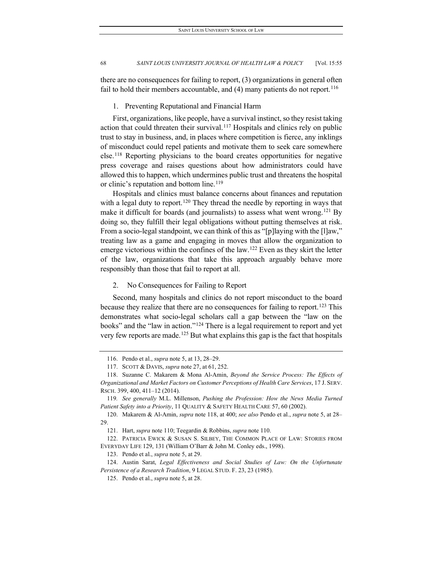there are no consequences for failing to report, (3) organizations in general often fail to hold their members accountable, and  $(4)$  many patients do not report.<sup>[116](#page-14-0)</sup>

#### 1. Preventing Reputational and Financial Harm

First, organizations, like people, have a survival instinct, so they resist taking action that could threaten their survival.<sup>[117](#page-14-1)</sup> Hospitals and clinics rely on public trust to stay in business, and, in places where competition is fierce, any inklings of misconduct could repel patients and motivate them to seek care somewhere else.[118](#page-14-2) Reporting physicians to the board creates opportunities for negative press coverage and raises questions about how administrators could have allowed this to happen, which undermines public trust and threatens the hospital or clinic's reputation and bottom line.<sup>[119](#page-14-3)</sup>

Hospitals and clinics must balance concerns about finances and reputation with a legal duty to report.<sup>[120](#page-14-4)</sup> They thread the needle by reporting in ways that make it difficult for boards (and journalists) to assess what went wrong.<sup>[121](#page-14-5)</sup> By doing so, they fulfill their legal obligations without putting themselves at risk. From a socio-legal standpoint, we can think of this as "[p] laying with the [l] aw," treating law as a game and engaging in moves that allow the organization to emerge victorious within the confines of the law.<sup>[122](#page-14-6)</sup> Even as they skirt the letter of the law, organizations that take this approach arguably behave more responsibly than those that fail to report at all.

#### 2. No Consequences for Failing to Report

Second, many hospitals and clinics do not report misconduct to the board because they realize that there are no consequences for failing to report.<sup>[123](#page-14-7)</sup> This demonstrates what socio-legal scholars call a gap between the "law on the books" and the "law in action."<sup>[124](#page-14-8)</sup> There is a legal requirement to report and yet very few reports are made.<sup>[125](#page-14-9)</sup> But what explains this gap is the fact that hospitals

<sup>116.</sup> Pendo et al., *supra* note 5, at 13, 28–29.

<sup>117.</sup> SCOTT & DAVIS, *supra* note 27, at 61, 252.

<span id="page-14-2"></span><span id="page-14-1"></span><span id="page-14-0"></span><sup>118.</sup> Suzanne C. Makarem & Mona Al-Amin, *Beyond the Service Process: The Effects of Organizational and Market Factors on Customer Perceptions of Health Care Services*, 17 J. SERV. RSCH. 399, 400, 411–12 (2014).

<span id="page-14-3"></span><sup>119</sup>*. See generally* M.L. Millenson, *Pushing the Profession: How the News Media Turned Patient Safety into a Priority*, 11 QUALITY & SAFETY HEALTH CARE 57, 60 (2002).

<span id="page-14-4"></span><sup>120.</sup> Makarem & Al-Amin, *supra* note 118, at 400; *see also* Pendo et al., *supra* note 5, at 28– 29.

<sup>121.</sup> Hart, *supra* note 110; Teegardin & Robbins, *supra* note 110.

<span id="page-14-6"></span><span id="page-14-5"></span><sup>122.</sup> PATRICIA EWICK & SUSAN S. SILBEY, THE COMMON PLACE OF LAW: STORIES FROM EVERYDAY LIFE 129, 131 (William O'Barr & John M. Conley eds., 1998).

<sup>123.</sup> Pendo et al., *supra* note 5, at 29.

<span id="page-14-9"></span><span id="page-14-8"></span><span id="page-14-7"></span><sup>124.</sup> Austin Sarat, *Legal Effectiveness and Social Studies of Law: On the Unfortunate Persistence of a Research Tradition*, 9 LEGAL STUD. F. 23, 23 (1985).

<sup>125.</sup> Pendo et al., *supra* note 5, at 28.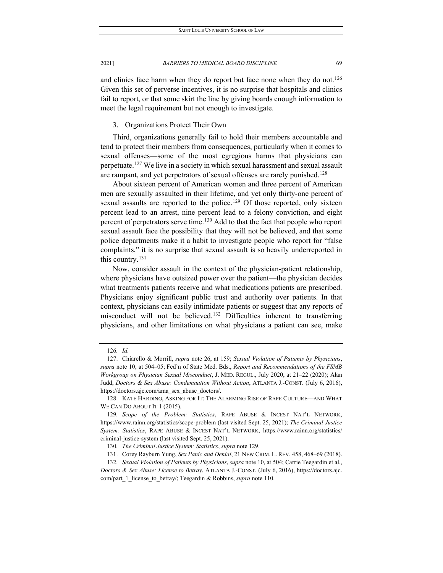and clinics face harm when they do report but face none when they do not.<sup>126</sup> Given this set of perverse incentives, it is no surprise that hospitals and clinics fail to report, or that some skirt the line by giving boards enough information to meet the legal requirement but not enough to investigate.

### 3. Organizations Protect Their Own

Third, organizations generally fail to hold their members accountable and tend to protect their members from consequences, particularly when it comes to sexual offenses—some of the most egregious harms that physicians can perpetuate.[127](#page-15-1) We live in a society in which sexual harassment and sexual assault are rampant, and yet perpetrators of sexual offenses are rarely punished.<sup>[128](#page-15-2)</sup>

About sixteen percent of American women and three percent of American men are sexually assaulted in their lifetime, and yet only thirty-one percent of sexual assaults are reported to the police.<sup>[129](#page-15-3)</sup> Of those reported, only sixteen percent lead to an arrest, nine percent lead to a felony conviction, and eight percent of perpetrators serve time.<sup>[130](#page-15-4)</sup> Add to that the fact that people who report sexual assault face the possibility that they will not be believed, and that some police departments make it a habit to investigate people who report for "false complaints," it is no surprise that sexual assault is so heavily underreported in this country.[131](#page-15-5)

Now, consider assault in the context of the physician-patient relationship, where physicians have outsized power over the patient—the physician decides what treatments patients receive and what medications patients are prescribed. Physicians enjoy significant public trust and authority over patients. In that context, physicians can easily intimidate patients or suggest that any reports of misconduct will not be believed[.132](#page-15-6) Difficulties inherent to transferring physicians, and other limitations on what physicians a patient can see, make

<sup>126</sup>*. Id.*

<span id="page-15-1"></span><span id="page-15-0"></span><sup>127.</sup> Chiarello & Morrill, *supra* note 26, at 159; *Sexual Violation of Patients by Physicians*, *supra* note 10, at 504–05; Fed'n of State Med. Bds., *Report and Recommendations of the FSMB Workgroup on Physician Sexual Misconduct*, J. MED. REGUL., July 2020, at 21–22 (2020); Alan Judd, *Doctors & Sex Abuse: Condemnation Without Action*, ATLANTA J.-CONST. (July 6, 2016), https://doctors.ajc.com/ama\_sex\_abuse\_doctors/.

<span id="page-15-2"></span><sup>128.</sup> KATE HARDING, ASKING FOR IT: THE ALARMING RISE OF RAPE CULTURE—AND WHAT WE CAN DO ABOUT IT 1 (2015).

<span id="page-15-3"></span><sup>129</sup>*. Scope of the Problem: Statistics*, RAPE ABUSE & INCEST NAT'L NETWORK, https://www.rainn.org/statistics/scope-problem (last visited Sept. 25, 2021); *The Criminal Justice System: Statistics*, RAPE ABUSE & INCEST NAT'L NETWORK, https://www.rainn.org/statistics/ criminal-justice-system (last visited Sept. 25, 2021).

<sup>130</sup>*. The Criminal Justice System: Statistics*, *supra* note 129.

<sup>131.</sup> Corey Rayburn Yung, *Sex Panic and Denial*, 21 NEW CRIM. L. REV. 458, 468–69 (2018).

<span id="page-15-6"></span><span id="page-15-5"></span><span id="page-15-4"></span><sup>132</sup>*. Sexual Violation of Patients by Physicians*, *supra* note 10, at 504; Carrie Teegardin et al., *Doctors & Sex Abuse: License to Betray*, ATLANTA J.-CONST. (July 6, 2016), https://doctors.ajc. com/part\_1\_license\_to\_betray/; Teegardin & Robbins, *supra* note 110.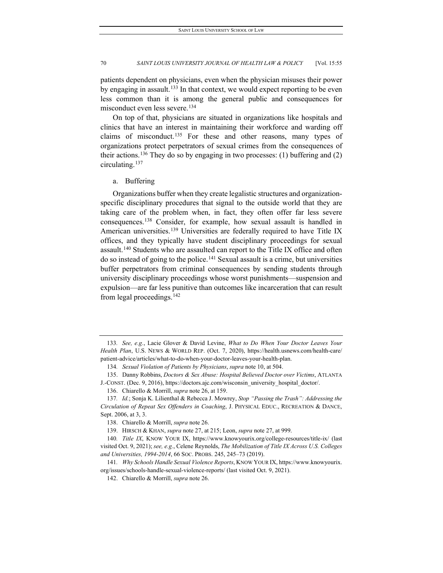patients dependent on physicians, even when the physician misuses their power by engaging in assault.<sup>[133](#page-16-0)</sup> In that context, we would expect reporting to be even less common than it is among the general public and consequences for misconduct even less severe.<sup>[134](#page-16-1)</sup>

On top of that, physicians are situated in organizations like hospitals and clinics that have an interest in maintaining their workforce and warding off claims of misconduct.[135](#page-16-2) For these and other reasons, many types of organizations protect perpetrators of sexual crimes from the consequences of their actions.[136](#page-16-3) They do so by engaging in two processes: (1) buffering and (2) circulating. [137](#page-16-4)

#### a. Buffering

Organizations buffer when they create legalistic structures and organizationspecific disciplinary procedures that signal to the outside world that they are taking care of the problem when, in fact, they often offer far less severe consequences.[138](#page-16-5) Consider, for example, how sexual assault is handled in American universities.<sup>[139](#page-16-6)</sup> Universities are federally required to have Title IX offices, and they typically have student disciplinary proceedings for sexual assault.<sup>[140](#page-16-7)</sup> Students who are assaulted can report to the Title IX office and often do so instead of going to the police.[141](#page-16-8) Sexual assault is a crime, but universities buffer perpetrators from criminal consequences by sending students through university disciplinary proceedings whose worst punishments—suspension and expulsion—are far less punitive than outcomes like incarceration that can result from legal proceedings.[142](#page-16-9)

<span id="page-16-0"></span><sup>133</sup>*. See, e.g.*, Lacie Glover & David Levine, *What to Do When Your Doctor Leaves Your Health Plan*, U.S. NEWS & WORLD REP. (Oct. 7, 2020), https://health.usnews.com/health-care/ patient-advice/articles/what-to-do-when-your-doctor-leaves-your-health-plan.

<sup>134</sup>*. Sexual Violation of Patients by Physicians*, *supra* note 10, at 504.

<span id="page-16-2"></span><span id="page-16-1"></span><sup>135.</sup> Danny Robbins, *Doctors & Sex Abuse: Hospital Believed Doctor over Victims*, ATLANTA J.-CONST. (Dec. 9, 2016), https://doctors.ajc.com/wisconsin\_university\_hospital\_doctor/.

<sup>136.</sup> Chiarello & Morrill, *supra* note 26, at 159.

<span id="page-16-4"></span><span id="page-16-3"></span><sup>137</sup>*. Id.*; Sonja K. Lilienthal & Rebecca J. Mowrey, *Stop "Passing the Trash": Addressing the Circulation of Repeat Sex Offenders in Coaching*, J. PHYSICAL EDUC., RECREATION & DANCE, Sept. 2006, at 3, 3.

<sup>138.</sup> Chiarello & Morrill, *supra* note 26.

<sup>139.</sup> HIRSCH & KHAN, *supra* note 27, at 215; Leon, *supra* note 27, at 999.

<span id="page-16-7"></span><span id="page-16-6"></span><span id="page-16-5"></span><sup>140</sup>*. Title IX*, KNOW YOUR IX, https://www.knowyourix.org/college-resources/title-ix/ (last visited Oct. 9, 2021); *see, e.g.*, Celene Reynolds, *The Mobilization of Title IX Across U.S. Colleges and Universities, 1994-2014*, 66 SOC. PROBS. 245, 245–73 (2019).

<span id="page-16-9"></span><span id="page-16-8"></span><sup>141</sup>*. Why Schools Handle Sexual Violence Reports*, KNOW YOUR IX, https://www.knowyourix. org/issues/schools-handle-sexual-violence-reports/ (last visited Oct. 9, 2021).

<sup>142.</sup> Chiarello & Morrill, *supra* note 26.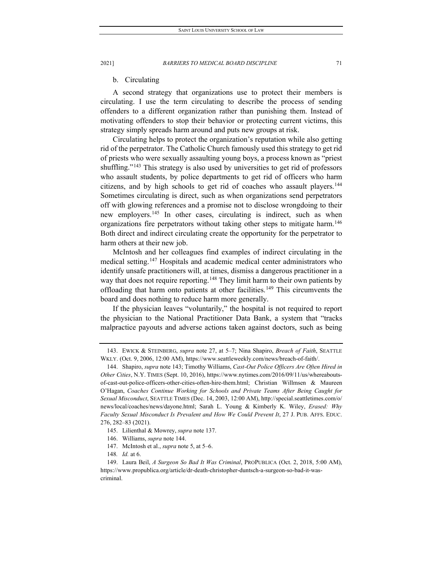#### b. Circulating

A second strategy that organizations use to protect their members is circulating. I use the term circulating to describe the process of sending offenders to a different organization rather than punishing them. Instead of motivating offenders to stop their behavior or protecting current victims, this strategy simply spreads harm around and puts new groups at risk.

Circulating helps to protect the organization's reputation while also getting rid of the perpetrator. The Catholic Church famously used this strategy to get rid of priests who were sexually assaulting young boys, a process known as "priest shuffling."<sup>[143](#page-17-0)</sup> This strategy is also used by universities to get rid of professors who assault students, by police departments to get rid of officers who harm citizens, and by high schools to get rid of coaches who assault players.<sup>144</sup> Sometimes circulating is direct, such as when organizations send perpetrators off with glowing references and a promise not to disclose wrongdoing to their new employers.<sup>[145](#page-17-2)</sup> In other cases, circulating is indirect, such as when organizations fire perpetrators without taking other steps to mitigate harm.<sup>146</sup> Both direct and indirect circulating create the opportunity for the perpetrator to harm others at their new job.

McIntosh and her colleagues find examples of indirect circulating in the medical setting.<sup>[147](#page-17-4)</sup> Hospitals and academic medical center administrators who identify unsafe practitioners will, at times, dismiss a dangerous practitioner in a way that does not require reporting.<sup>[148](#page-17-5)</sup> They limit harm to their own patients by offloading that harm onto patients at other facilities.<sup>[149](#page-17-6)</sup> This circumvents the board and does nothing to reduce harm more generally.

If the physician leaves "voluntarily," the hospital is not required to report the physician to the National Practitioner Data Bank, a system that "tracks malpractice payouts and adverse actions taken against doctors, such as being

148*. Id.* at 6.

<span id="page-17-0"></span><sup>143.</sup> EWICK & STEINBERG, *supra* note 27, at 5–7; Nina Shapiro, *Breach of Faith*, SEATTLE WKLY. (Oct. 9, 2006, 12:00 AM), https://www.seattleweekly.com/news/breach-of-faith/.

<span id="page-17-1"></span><sup>144.</sup> Shapiro, *supra* note 143; Timothy Williams, *Cast-Out Police Officers Are Often Hired in Other Cities*, N.Y. TIMES (Sept. 10, 2016), https://www.nytimes.com/2016/09/11/us/whereaboutsof-cast-out-police-officers-other-cities-often-hire-them.html; Christian Willmsen & Maureen O'Hagan, *Coaches Continue Working for Schools and Private Teams After Being Caught for Sexual Misconduct*, SEATTLE TIMES (Dec. 14, 2003, 12:00 AM), http://special.seattletimes.com/o/ news/local/coaches/news/dayone.html; Sarah L. Young & Kimberly K. Wiley, *Erased: Why Faculty Sexual Misconduct Is Prevalent and How We Could Prevent It*, 27 J. PUB. AFFS. EDUC. 276, 282–83 (2021).

<sup>145.</sup> Lilienthal & Mowrey, *supra* note 137.

<sup>146.</sup> Williams, *supra* note 144.

<sup>147.</sup> McIntosh et al., *supra* note 5, at 5–6.

<span id="page-17-6"></span><span id="page-17-5"></span><span id="page-17-4"></span><span id="page-17-3"></span><span id="page-17-2"></span><sup>149.</sup> Laura Beil, *A Surgeon So Bad It Was Criminal*, PROPUBLICA (Oct. 2, 2018, 5:00 AM), https://www.propublica.org/article/dr-death-christopher-duntsch-a-surgeon-so-bad-it-wascriminal.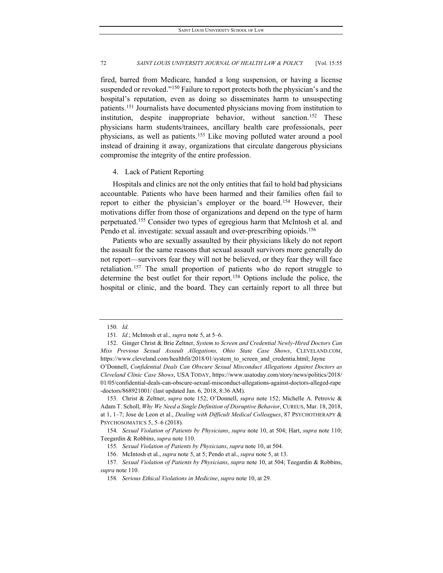fired, barred from Medicare, handed a long suspension, or having a license suspended or revoked."<sup>[150](#page-18-0)</sup> Failure to report protects both the physician's and the hospital's reputation, even as doing so disseminates harm to unsuspecting patients.[151](#page-18-1) Journalists have documented physicians moving from institution to institution, despite inappropriate behavior, without sanction.<sup>[152](#page-18-2)</sup> These physicians harm students/trainees, ancillary health care professionals, peer physicians, as well as patients.[153](#page-18-3) Like moving polluted water around a pool instead of draining it away, organizations that circulate dangerous physicians compromise the integrity of the entire profession.

#### 4. Lack of Patient Reporting

Hospitals and clinics are not the only entities that fail to hold bad physicians accountable. Patients who have been harmed and their families often fail to report to either the physician's employer or the board.<sup>[154](#page-18-4)</sup> However, their motivations differ from those of organizations and depend on the type of harm perpetuated.[155](#page-18-5) Consider two types of egregious harm that McIntosh et al. and Pendo et al. investigate: sexual assault and over-prescribing opioids.<sup>156</sup>

Patients who are sexually assaulted by their physicians likely do not report the assault for the same reasons that sexual assault survivors more generally do not report—survivors fear they will not be believed, or they fear they will face retaliation.[157](#page-18-7) The small proportion of patients who do report struggle to determine the best outlet for their report.[158](#page-18-8) Options include the police, the hospital or clinic, and the board. They can certainly report to all three but

<sup>150</sup>*. Id.*

<sup>151</sup>*. Id.*; McIntosh et al., *supra* note 5, at 5–6.

<span id="page-18-2"></span><span id="page-18-1"></span><span id="page-18-0"></span><sup>152.</sup> Ginger Christ & Brie Zeltner, *System to Screen and Credential Newly-Hired Doctors Can Miss Previous Sexual Assault Allegations, Ohio State Case Shows*, CLEVELAND.COM, https://www.cleveland.com/healthfit/2018/01/system\_to\_screen\_and\_credentia.html; Jayne

O'Donnell, *Confidential Deals Can Obscure Sexual Misconduct Allegations Against Doctors as Cleveland Clinic Case Shows*, USA TODAY, https://www.usatoday.com/story/news/politics/2018/ 01/05/confidential-deals-can-obscure-sexual-misconduct-allegations-against-doctors-alleged-rape -doctors/868921001/ (last updated Jan. 6, 2018, 8:36 AM).

<span id="page-18-3"></span><sup>153.</sup> Christ & Zeltner, *supra* note 152; O'Donnell, *supra* note 152; Michelle A. Petrovic & Adam T. Scholl, *Why We Need a Single Definition of Disruptive Behavior*, CUREUS, Mar. 18, 2018, at 1, 1–7; Jose de Leon et al., *Dealing with Difficult Medical Colleagues*, 87 PSYCHOTHERAPY & PSYCHOSOMATICS 5, 5–6 (2018).

<span id="page-18-5"></span><span id="page-18-4"></span><sup>154</sup>*. Sexual Violation of Patients by Physicians*, *supra* note 10, at 504; Hart, *supra* note 110; Teegardin & Robbins, *supra* note 110.

<sup>155</sup>*. Sexual Violation of Patients by Physicians*, *supra* note 10, at 504.

<sup>156.</sup> McIntosh et al., *supra* note 5, at 5; Pendo et al., *supra* note 5, at 13.

<span id="page-18-8"></span><span id="page-18-7"></span><span id="page-18-6"></span><sup>157</sup>*. Sexual Violation of Patients by Physicians*, *supra* note 10, at 504; Teegardin & Robbins, *supra* note 110.

<sup>158</sup>*. Serious Ethical Violations in Medicine*, *supra* note 10, at 29.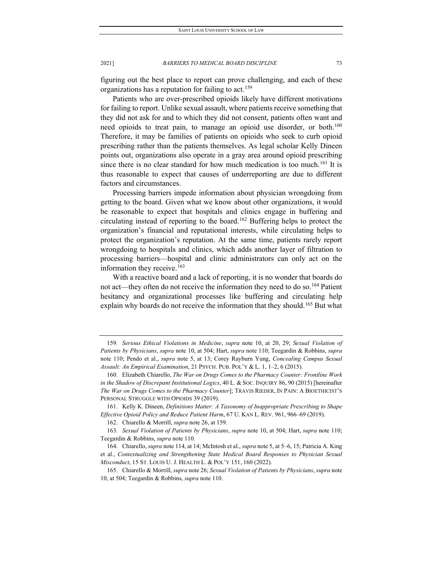figuring out the best place to report can prove challenging, and each of these organizations has a reputation for failing to act.<sup>[159](#page-19-0)</sup>

Patients who are over-prescribed opioids likely have different motivations for failing to report. Unlike sexual assault, where patients receive something that they did not ask for and to which they did not consent, patients often want and need opioids to treat pain, to manage an opioid use disorder, or both.<sup>160</sup> Therefore, it may be families of patients on opioids who seek to curb opioid prescribing rather than the patients themselves. As legal scholar Kelly Dineen points out, organizations also operate in a gray area around opioid prescribing since there is no clear standard for how much medication is too much.<sup>161</sup> It is thus reasonable to expect that causes of underreporting are due to different factors and circumstances.

Processing barriers impede information about physician wrongdoing from getting to the board. Given what we know about other organizations, it would be reasonable to expect that hospitals and clinics engage in buffering and circulating instead of reporting to the board.[162](#page-19-3) Buffering helps to protect the organization's financial and reputational interests, while circulating helps to protect the organization's reputation. At the same time, patients rarely report wrongdoing to hospitals and clinics, which adds another layer of filtration to processing barriers—hospital and clinic administrators can only act on the information they receive.<sup>[163](#page-19-4)</sup>

With a reactive board and a lack of reporting, it is no wonder that boards do not act—they often do not receive the information they need to do so.<sup>[164](#page-19-5)</sup> Patient hesitancy and organizational processes like buffering and circulating help explain why boards do not receive the information that they should.<sup>[165](#page-19-6)</sup> But what

<span id="page-19-0"></span><sup>159</sup>*. Serious Ethical Violations in Medicine*, *supra* note 10, at 20, 29; *Sexual Violation of Patients by Physicians*, *supra* note 10, at 504; Hart, *supra* note 110; Teegardin & Robbins, *supra* note 110; Pendo et al., *supra* note 5, at 13; Corey Rayburn Yung, *Concealing Campus Sexual Assault: An Empirical Examination*, 21 PSYCH. PUB. POL'Y & L. 1, 1–2, 6 (2015).

<span id="page-19-1"></span><sup>160.</sup> Elizabeth Chiarello, *The War on Drugs Comes to the Pharmacy Counter: Frontline Work in the Shadow of Discrepant Institutional Logics*, 40 L. & SOC. INQUIRY 86, 90 (2015) [hereinafter *The War on Drugs Comes to the Pharmacy Counter*]; TRAVIS RIEDER, IN PAIN: A BIOETHICIST'S PERSONAL STRUGGLE WITH OPIOIDS 39 (2019).

<span id="page-19-2"></span><sup>161.</sup> Kelly K. Dineen, *Definitions Matter: A Taxonomy of Inappropriate Prescribing to Shape Effective Opioid Policy and Reduce Patient Harm*, 67 U. KAN L. REV. 961, 966–69 (2019).

<sup>162.</sup> Chiarello & Morrill, *supra* note 26, at 159.

<span id="page-19-4"></span><span id="page-19-3"></span><sup>163</sup>*. Sexual Violation of Patients by Physicians*, *supra* note 10, at 504; Hart, *supra* note 110; Teegardin & Robbins, *supra* note 110.

<span id="page-19-5"></span><sup>164.</sup> Chiarello, *supra* note 114, at 14; McIntosh et al., *supra* note 5, at 5–6, 15; Patricia A. King et al., *Contextualizing and Strengthening State Medical Board Responses to Physician Sexual Misconduct*, 15 ST. LOUIS U. J. HEALTH L. & POL'Y 151, 160 (2022).

<span id="page-19-6"></span><sup>165.</sup> Chiarello & Morrill, *supra* note 26; *Sexual Violation of Patients by Physicians*, *supra* note 10, at 504; Teegardin & Robbins, *supra* note 110.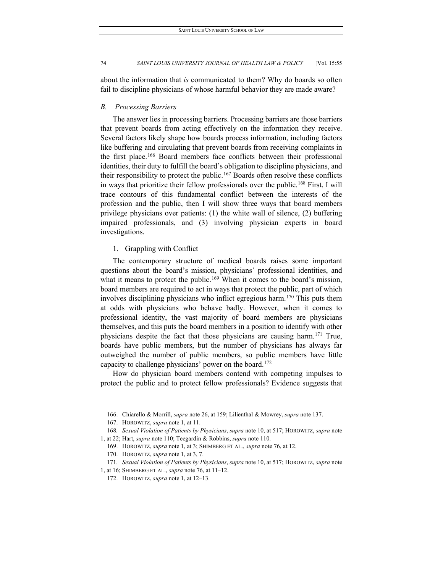about the information that *is* communicated to them? Why do boards so often fail to discipline physicians of whose harmful behavior they are made aware?

#### *B. Processing Barriers*

The answer lies in processing barriers. Processing barriers are those barriers that prevent boards from acting effectively on the information they receive. Several factors likely shape how boards process information, including factors like buffering and circulating that prevent boards from receiving complaints in the first place.<sup>[166](#page-20-0)</sup> Board members face conflicts between their professional identities, their duty to fulfill the board's obligation to discipline physicians, and their responsibility to protect the public.[167](#page-20-1) Boards often resolve these conflicts in ways that prioritize their fellow professionals over the public.<sup>[168](#page-20-2)</sup> First, I will trace contours of this fundamental conflict between the interests of the profession and the public, then I will show three ways that board members privilege physicians over patients: (1) the white wall of silence, (2) buffering impaired professionals, and (3) involving physician experts in board investigations.

### 1. Grappling with Conflict

The contemporary structure of medical boards raises some important questions about the board's mission, physicians' professional identities, and what it means to protect the public.<sup>[169](#page-20-3)</sup> When it comes to the board's mission, board members are required to act in ways that protect the public, part of which involves disciplining physicians who inflict egregious harm.[170](#page-20-4) This puts them at odds with physicians who behave badly. However, when it comes to professional identity, the vast majority of board members are physicians themselves, and this puts the board members in a position to identify with other physicians despite the fact that those physicians are causing harm.[171](#page-20-5) True, boards have public members, but the number of physicians has always far outweighed the number of public members, so public members have little capacity to challenge physicians' power on the board.[172](#page-20-6)

How do physician board members contend with competing impulses to protect the public and to protect fellow professionals? Evidence suggests that

<sup>166.</sup> Chiarello & Morrill, *supra* note 26, at 159; Lilienthal & Mowrey, *supra* note 137.

<sup>167.</sup> HOROWITZ, *supra* note 1, at 11.

<span id="page-20-3"></span><span id="page-20-2"></span><span id="page-20-1"></span><span id="page-20-0"></span><sup>168</sup>*. Sexual Violation of Patients by Physicians*, *supra* note 10, at 517; HOROWITZ, *supra* note 1, at 22; Hart, *supra* note 110; Teegardin & Robbins, *supra* note 110.

<sup>169.</sup> HOROWITZ, *supra* note 1, at 3; SHIMBERG ET AL., *supra* note 76, at 12.

<sup>170.</sup> HOROWITZ, *supra* note 1, at 3, 7.

<sup>171</sup>*. Sexual Violation of Patients by Physicians*, *supra* note 10, at 517; HOROWITZ, *supra* note

<span id="page-20-6"></span><span id="page-20-5"></span><span id="page-20-4"></span><sup>1,</sup> at 16; SHIMBERG ET AL., *supra* note 76, at 11–12.

<sup>172.</sup> HOROWITZ, *supra* note 1, at 12–13.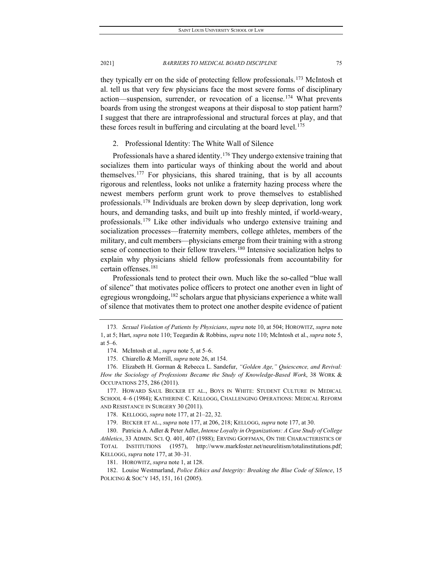they typically err on the side of protecting fellow professionals.[173](#page-21-0) McIntosh et al. tell us that very few physicians face the most severe forms of disciplinary action—suspension, surrender, or revocation of a license.[174](#page-21-1) What prevents boards from using the strongest weapons at their disposal to stop patient harm? I suggest that there are intraprofessional and structural forces at play, and that these forces result in buffering and circulating at the board level.<sup>[175](#page-21-2)</sup>

## 2. Professional Identity: The White Wall of Silence

Professionals have a shared identity.<sup>[176](#page-21-3)</sup> They undergo extensive training that socializes them into particular ways of thinking about the world and about themselves.[177](#page-21-4) For physicians, this shared training, that is by all accounts rigorous and relentless, looks not unlike a fraternity hazing process where the newest members perform grunt work to prove themselves to established professionals.[178](#page-21-5) Individuals are broken down by sleep deprivation, long work hours, and demanding tasks, and built up into freshly minted, if world-weary, professionals.[179](#page-21-6) Like other individuals who undergo extensive training and socialization processes—fraternity members, college athletes, members of the military, and cult members—physicians emerge from their training with a strong sense of connection to their fellow travelers.<sup>[180](#page-21-7)</sup> Intensive socialization helps to explain why physicians shield fellow professionals from accountability for certain offenses.[181](#page-21-8)

Professionals tend to protect their own. Much like the so-called "blue wall of silence" that motivates police officers to protect one another even in light of egregious wrongdoing,<sup>[182](#page-21-9)</sup> scholars argue that physicians experience a white wall of silence that motivates them to protect one another despite evidence of patient

181. HOROWITZ, *supra* note 1, at 128.

<span id="page-21-9"></span><span id="page-21-8"></span>182. Louise Westmarland, *Police Ethics and Integrity: Breaking the Blue Code of Silence*, 15 POLICING & SOC'Y 145, 151, 161 (2005).

<span id="page-21-0"></span><sup>173</sup>*. Sexual Violation of Patients by Physicians*, *supra* note 10, at 504; HOROWITZ, *supra* note 1, at 5; Hart, *supra* note 110; Teegardin & Robbins, *supra* note 110; McIntosh et al., *supra* note 5, at 5–6.

<sup>174.</sup> McIntosh et al., *supra* note 5, at 5–6.

<sup>175.</sup> Chiarello & Morrill, *supra* note 26, at 154.

<span id="page-21-3"></span><span id="page-21-2"></span><span id="page-21-1"></span><sup>176.</sup> Elizabeth H. Gorman & Rebecca L. Sandefur, *"Golden Age," Quiescence, and Revival: How the Sociology of Professions Became the Study of Knowledge-Based Work*, 38 WORK & OCCUPATIONS 275, 286 (2011).

<span id="page-21-4"></span><sup>177.</sup> HOWARD SAUL BECKER ET AL., BOYS IN WHITE: STUDENT CULTURE IN MEDICAL SCHOOL 4–6 (1984); KATHERINE C. KELLOGG, CHALLENGING OPERATIONS: MEDICAL REFORM AND RESISTANCE IN SURGERY 30 (2011).

<sup>178.</sup> KELLOGG, *supra* note 177, at 21–22, 32.

<sup>179.</sup> BECKER ET AL., *supra* note 177, at 206, 218; KELLOGG, *supra* note 177, at 30.

<span id="page-21-7"></span><span id="page-21-6"></span><span id="page-21-5"></span><sup>180.</sup> Patricia A. Adler & Peter Adler, *Intense Loyalty in Organizations: A Case Study of College Athletics*, 33 ADMIN. SCI. Q. 401, 407 (1988); ERVING GOFFMAN, ON THE CHARACTERISTICS OF TOTAL INSTITUTIONS (1957), http://www.markfoster.net/neurelitism/totalinstitutions.pdf; KELLOGG, *supra* note 177, at 30–31.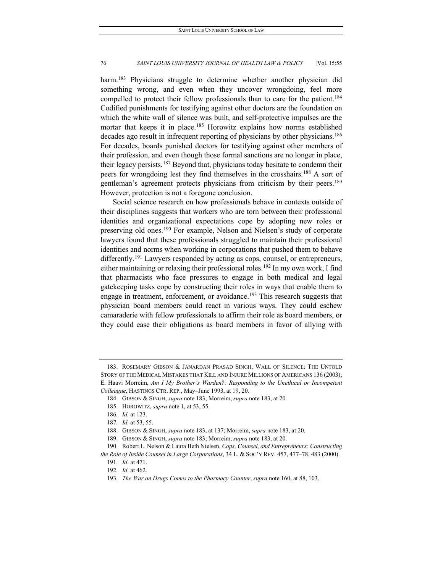harm.<sup>[183](#page-22-0)</sup> Physicians struggle to determine whether another physician did something wrong, and even when they uncover wrongdoing, feel more compelled to protect their fellow professionals than to care for the patient.<sup>184</sup> Codified punishments for testifying against other doctors are the foundation on which the white wall of silence was built, and self-protective impulses are the mortar that keeps it in place.<sup>185</sup> Horowitz explains how norms established decades ago result in infrequent reporting of physicians by other physicians.<sup>186</sup> For decades, boards punished doctors for testifying against other members of their profession, and even though those formal sanctions are no longer in place, their legacy persists.[187](#page-22-4) Beyond that, physicians today hesitate to condemn their peers for wrongdoing lest they find themselves in the crosshairs.[188](#page-22-5) A sort of gentleman's agreement protects physicians from criticism by their peers.<sup>189</sup> However, protection is not a foregone conclusion.

Social science research on how professionals behave in contexts outside of their disciplines suggests that workers who are torn between their professional identities and organizational expectations cope by adopting new roles or preserving old ones.<sup>[190](#page-22-7)</sup> For example, Nelson and Nielsen's study of corporate lawyers found that these professionals struggled to maintain their professional identities and norms when working in corporations that pushed them to behave differently.<sup>[191](#page-22-8)</sup> Lawyers responded by acting as cops, counsel, or entrepreneurs, either maintaining or relaxing their professional roles.<sup>[192](#page-22-9)</sup> In my own work, I find that pharmacists who face pressures to engage in both medical and legal gatekeeping tasks cope by constructing their roles in ways that enable them to engage in treatment, enforcement, or avoidance.<sup>[193](#page-22-10)</sup> This research suggests that physician board members could react in various ways. They could eschew camaraderie with fellow professionals to affirm their role as board members, or they could ease their obligations as board members in favor of allying with

<span id="page-22-1"></span><span id="page-22-0"></span><sup>183.</sup> ROSEMARY GIBSON & JANARDAN PRASAD SINGH, WALL OF SILENCE: THE UNTOLD STORY OF THE MEDICAL MISTAKES THAT KILL AND INJURE MILLIONS OF AMERICANS 136 (2003); E. Haavi Morreim, *Am I My Brother's Warden?: Responding to the Unethical or Incompetent Colleague*, HASTINGS CTR. REP., May–June 1993, at 19, 20.

<sup>184.</sup> GIBSON & SINGH, *supra* note 183; Morreim, *supra* note 183, at 20.

<span id="page-22-2"></span><sup>185.</sup> HOROWITZ, *supra* note 1, at 53, 55.

<sup>186</sup>*. Id.* at 123.

<sup>187</sup>*. Id.* at 53, 55.

<sup>188.</sup> GIBSON & SINGH, *supra* note 183, at 137; Morreim, *supra* note 183, at 20.

<sup>189.</sup> GIBSON & SINGH, *supra* note 183; Morreim, *supra* note 183, at 20.

<span id="page-22-10"></span><span id="page-22-9"></span><span id="page-22-8"></span><span id="page-22-7"></span><span id="page-22-6"></span><span id="page-22-5"></span><span id="page-22-4"></span><span id="page-22-3"></span><sup>190.</sup> Robert L. Nelson & Laura Beth Nielsen, *Cops, Counsel, and Entrepreneurs: Constructing the Role of Inside Counsel in Large Corporations*, 34 L. & SOC'Y REV. 457, 477–78, 483 (2000).

<sup>191</sup>*. Id.* at 471.

<sup>192</sup>*. Id.* at 462.

<sup>193</sup>*. The War on Drugs Comes to the Pharmacy Counter*, *supra* note 160, at 88, 103.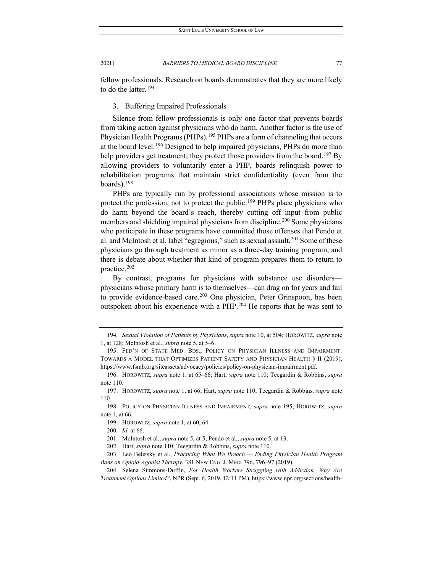fellow professionals. Research on boards demonstrates that they are more likely to do the latter.  $194$ 

3. Buffering Impaired Professionals

Silence from fellow professionals is only one factor that prevents boards from taking action against physicians who do harm. Another factor is the use of Physician Health Programs (PHPs).<sup>[195](#page-23-1)</sup> PHPs are a form of channeling that occurs at the board level.<sup>[196](#page-23-2)</sup> Designed to help impaired physicians, PHPs do more than help providers get treatment; they protect those providers from the board.<sup>[197](#page-23-3)</sup> By allowing providers to voluntarily enter a PHP, boards relinquish power to rehabilitation programs that maintain strict confidentiality (even from the boards).[198](#page-23-4)

PHPs are typically run by professional associations whose mission is to protect the profession, not to protect the public.<sup>[199](#page-23-5)</sup> PHPs place physicians who do harm beyond the board's reach, thereby cutting off input from public members and shielding impaired physicians from discipline.<sup>[200](#page-23-6)</sup> Some physicians who participate in these programs have committed those offenses that Pendo et al. and McIntosh et al. label "egregious," such as sexual assault.<sup>[201](#page-23-7)</sup> Some of these physicians go through treatment as minor as a three-day training program, and there is debate about whether that kind of program prepares them to return to practice.[202](#page-23-8)

By contrast, programs for physicians with substance use disorders physicians whose primary harm is to themselves—can drag on for years and fail to provide evidence-based care.<sup>[203](#page-23-9)</sup> One physician, Peter Grinspoon, has been outspoken about his experience with a PHP.[204](#page-23-10) He reports that he was sent to

<span id="page-23-0"></span><sup>194</sup>*. Sexual Violation of Patients by Physicians*, *supra* note 10, at 504; HOROWITZ, *supra* note 1, at 128; McIntosh et al., *supra* note 5, at 5–6.

<span id="page-23-1"></span><sup>195.</sup> FED'N OF STATE MED. BDS., POLICY ON PHYSICIAN ILLNESS AND IMPAIRMENT: TOWARDS A MODEL THAT OPTIMIZES PATIENT SAFETY AND PHYSICIAN HEALTH § II (2019), https://www.fsmb.org/siteassets/advocacy/policies/policy-on-physician-impairment.pdf.

<span id="page-23-2"></span><sup>196.</sup> HOROWITZ, *supra* note 1, at 65–66; Hart, *supra* note 110; Teegardin & Robbins, *supra* note 110.

<span id="page-23-3"></span><sup>197.</sup> HOROWITZ, *supra* note 1, at 66; Hart, *supra* note 110; Teegardin & Robbins, *supra* note 110.

<span id="page-23-6"></span><span id="page-23-5"></span><span id="page-23-4"></span><sup>198.</sup> POLICY ON PHYSICIAN ILLNESS AND IMPAIRMENT, *supra* note 195; HOROWITZ, *supra*  note 1, at 66.

<sup>199.</sup> HOROWITZ, *supra* note 1, at 60, 64.

<sup>200</sup>*. Id.* at 66.

<sup>201.</sup> McIntosh et al., *supra* note 5, at 5; Pendo et al., *supra* note 5, at 13.

<sup>202.</sup> Hart, *supra* note 110; Teegardin & Robbins, *supra* note 110.

<span id="page-23-9"></span><span id="page-23-8"></span><span id="page-23-7"></span><sup>203.</sup> Leo Beletsky et al., *Practicing What We Preach — Ending Physician Health Program Bans on Opioid-Agonist Therapy*, 381 NEW ENG. J. MED. 796, 796–97 (2019).

<span id="page-23-10"></span><sup>204.</sup> Selena Simmons-Duffin, *For Health Workers Struggling with Addiction, Why Are Treatment Options Limited?*, NPR (Sept. 6, 2019, 12:11 PM), https://www.npr.org/sections/health-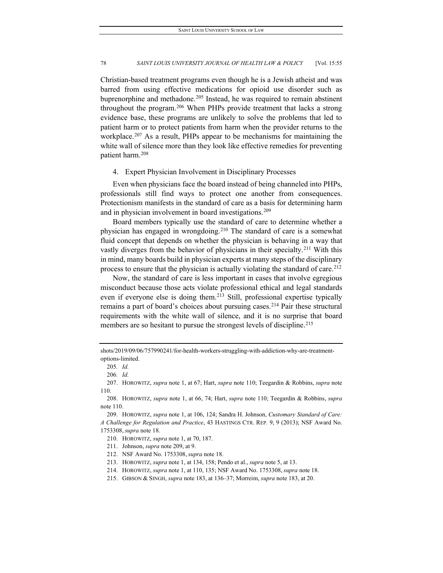Christian-based treatment programs even though he is a Jewish atheist and was barred from using effective medications for opioid use disorder such as buprenorphine and methadone.<sup>[205](#page-24-0)</sup> Instead, he was required to remain abstinent throughout the program.[206](#page-24-1) When PHPs provide treatment that lacks a strong evidence base, these programs are unlikely to solve the problems that led to patient harm or to protect patients from harm when the provider returns to the workplace.<sup>[207](#page-24-2)</sup> As a result, PHPs appear to be mechanisms for maintaining the white wall of silence more than they look like effective remedies for preventing patient harm.[208](#page-24-3)

#### 4. Expert Physician Involvement in Disciplinary Processes

Even when physicians face the board instead of being channeled into PHPs, professionals still find ways to protect one another from consequences. Protectionism manifests in the standard of care as a basis for determining harm and in physician involvement in board investigations.<sup>[209](#page-24-4)</sup>

Board members typically use the standard of care to determine whether a physician has engaged in wrongdoing.[210](#page-24-5) The standard of care is a somewhat fluid concept that depends on whether the physician is behaving in a way that vastly diverges from the behavior of physicians in their specialty.<sup>[211](#page-24-6)</sup> With this in mind, many boards build in physician experts at many steps of the disciplinary process to ensure that the physician is actually violating the standard of care.<sup>[212](#page-24-7)</sup>

Now, the standard of care is less important in cases that involve egregious misconduct because those acts violate professional ethical and legal standards even if everyone else is doing them.<sup>[213](#page-24-8)</sup> Still, professional expertise typically remains a part of board's choices about pursuing cases.<sup>[214](#page-24-9)</sup> Pair these structural requirements with the white wall of silence, and it is no surprise that board members are so hesitant to pursue the strongest levels of discipline.<sup>[215](#page-24-10)</sup>

<span id="page-24-0"></span>shots/2019/09/06/757990241/for-health-workers-struggling-with-addiction-why-are-treatmentoptions-limited.

<sup>205</sup>*. Id.*

<sup>206</sup>*. Id.*

<span id="page-24-2"></span><span id="page-24-1"></span><sup>207.</sup> HOROWITZ, *supra* note 1, at 67; Hart, *supra* note 110; Teegardin & Robbins, *supra* note 110.

<span id="page-24-3"></span><sup>208.</sup> HOROWITZ, *supra* note 1, at 66, 74; Hart, *supra* note 110; Teegardin & Robbins, *supra*  note 110.

<span id="page-24-6"></span><span id="page-24-5"></span><span id="page-24-4"></span><sup>209.</sup> HOROWITZ, *supra* note 1, at 106, 124; Sandra H. Johnson, *Customary Standard of Care: A Challenge for Regulation and Practice*, 43 HASTINGS CTR. REP*.* 9, 9 (2013); NSF Award No. 1753308, *supra* note 18.

<sup>210.</sup> HOROWITZ, *supra* note 1, at 70, 187.

<sup>211.</sup> Johnson, *supra* note 209, at 9.

<span id="page-24-7"></span><sup>212.</sup> NSF Award No. 1753308, *supra* note 18.

<span id="page-24-8"></span><sup>213.</sup> HOROWITZ, *supra* note 1, at 134, 158; Pendo et al., *supra* note 5, at 13.

<span id="page-24-9"></span><sup>214.</sup> HOROWITZ, *supra* note 1, at 110, 135; NSF Award No. 1753308, *supra* note 18.

<span id="page-24-10"></span><sup>215.</sup> GIBSON & SINGH, *supra* note 183, at 136–37; Morreim, *supra* note 183, at 20.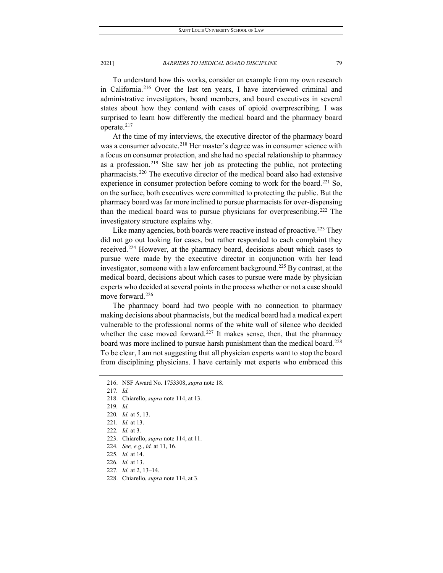To understand how this works, consider an example from my own research in California.[216](#page-25-0) Over the last ten years, I have interviewed criminal and administrative investigators, board members, and board executives in several states about how they contend with cases of opioid overprescribing. I was surprised to learn how differently the medical board and the pharmacy board operate.[217](#page-25-1)

At the time of my interviews, the executive director of the pharmacy board was a consumer advocate.<sup>[218](#page-25-2)</sup> Her master's degree was in consumer science with a focus on consumer protection, and she had no special relationship to pharmacy as a profession.<sup>219</sup> She saw her job as protecting the public, not protecting pharmacists.[220](#page-25-4) The executive director of the medical board also had extensive experience in consumer protection before coming to work for the board.<sup>[221](#page-25-5)</sup> So, on the surface, both executives were committed to protecting the public. But the pharmacy board was far more inclined to pursue pharmacists for over-dispensing than the medical board was to pursue physicians for overprescribing.[222](#page-25-6) The investigatory structure explains why.

Like many agencies, both boards were reactive instead of proactive.<sup>[223](#page-25-7)</sup> They did not go out looking for cases, but rather responded to each complaint they received.[224](#page-25-8) However, at the pharmacy board, decisions about which cases to pursue were made by the executive director in conjunction with her lead investigator, someone with a law enforcement background.<sup>[225](#page-25-9)</sup> By contrast, at the medical board, decisions about which cases to pursue were made by physician experts who decided at several points in the process whether or not a case should move forward.<sup>[226](#page-25-10)</sup>

The pharmacy board had two people with no connection to pharmacy making decisions about pharmacists, but the medical board had a medical expert vulnerable to the professional norms of the white wall of silence who decided whether the case moved forward.<sup>[227](#page-25-11)</sup> It makes sense, then, that the pharmacy board was more inclined to pursue harsh punishment than the medical board.<sup>228</sup> To be clear, I am not suggesting that all physician experts want to stop the board from disciplining physicians. I have certainly met experts who embraced this

<span id="page-25-10"></span>226*. Id.* at 13.

<span id="page-25-12"></span>228. Chiarello, *supra* note 114, at 3.

<span id="page-25-0"></span><sup>216.</sup> NSF Award No. 1753308, *supra* note 18.

<span id="page-25-1"></span><sup>217</sup>*. Id.*

<span id="page-25-2"></span><sup>218.</sup> Chiarello, *supra* note 114, at 13.

<span id="page-25-3"></span><sup>219</sup>*. Id.*

<span id="page-25-4"></span><sup>220</sup>*. Id.* at 5, 13.

<span id="page-25-5"></span><sup>221</sup>*. Id.* at 13.

<sup>222</sup>*. Id.* at 3.

<span id="page-25-9"></span><span id="page-25-8"></span><span id="page-25-7"></span><span id="page-25-6"></span><sup>223.</sup> Chiarello, *supra* note 114, at 11.

<sup>224</sup>*. See, e.g.*, *id.* at 11, 16.

<sup>225</sup>*. Id.* at 14.

<span id="page-25-11"></span><sup>227</sup>*. Id.* at 2, 13–14.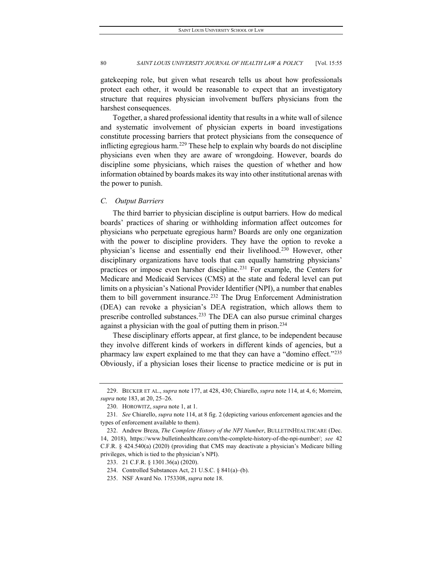gatekeeping role, but given what research tells us about how professionals protect each other, it would be reasonable to expect that an investigatory structure that requires physician involvement buffers physicians from the harshest consequences.

Together, a shared professional identity that results in a white wall of silence and systematic involvement of physician experts in board investigations constitute processing barriers that protect physicians from the consequence of inflicting egregious harm.<sup>[229](#page-26-0)</sup> These help to explain why boards do not discipline physicians even when they are aware of wrongdoing. However, boards do discipline some physicians, which raises the question of whether and how information obtained by boards makes its way into other institutional arenas with the power to punish.

### *C. Output Barriers*

The third barrier to physician discipline is output barriers. How do medical boards' practices of sharing or withholding information affect outcomes for physicians who perpetuate egregious harm? Boards are only one organization with the power to discipline providers. They have the option to revoke a physician's license and essentially end their livelihood.[230](#page-26-1) However, other disciplinary organizations have tools that can equally hamstring physicians' practices or impose even harsher discipline.<sup>[231](#page-26-2)</sup> For example, the Centers for Medicare and Medicaid Services (CMS) at the state and federal level can put limits on a physician's National Provider Identifier (NPI), a number that enables them to bill government insurance.<sup>[232](#page-26-3)</sup> The Drug Enforcement Administration (DEA) can revoke a physician's DEA registration, which allows them to prescribe controlled substances.[233](#page-26-4) The DEA can also pursue criminal charges against a physician with the goal of putting them in prison.<sup>[234](#page-26-5)</sup>

These disciplinary efforts appear, at first glance, to be independent because they involve different kinds of workers in different kinds of agencies, but a pharmacy law expert explained to me that they can have a "domino effect."<sup>235</sup> Obviously, if a physician loses their license to practice medicine or is put in

<span id="page-26-0"></span><sup>229.</sup> BECKER ET AL., *supra* note 177, at 428, 430; Chiarello, *supra* note 114, at 4, 6; Morreim, *supra* note 183, at 20, 25–26.

<sup>230.</sup> HOROWITZ, *supra* note 1, at 1.

<span id="page-26-2"></span><span id="page-26-1"></span><sup>231</sup>*. See* Chiarello, *supra* note 114, at 8 fig. 2 (depicting various enforcement agencies and the types of enforcement available to them).

<span id="page-26-4"></span><span id="page-26-3"></span><sup>232.</sup> Andrew Breza, *The Complete History of the NPI Number*, BULLETINHEALTHCARE (Dec. 14, 2018), https://www.bulletinhealthcare.com/the-complete-history-of-the-npi-number/; *see* 42 C.F.R. § 424.540(a) (2020) (providing that CMS may deactivate a physician's Medicare billing privileges, which is tied to the physician's NPI).

<sup>233.</sup> 21 C.F.R. § 1301.36(a) (2020).

<span id="page-26-5"></span><sup>234.</sup> Controlled Substances Act, 21 U.S.C. § 841(a)–(b).

<span id="page-26-6"></span><sup>235.</sup> NSF Award No. 1753308, *supra* note 18.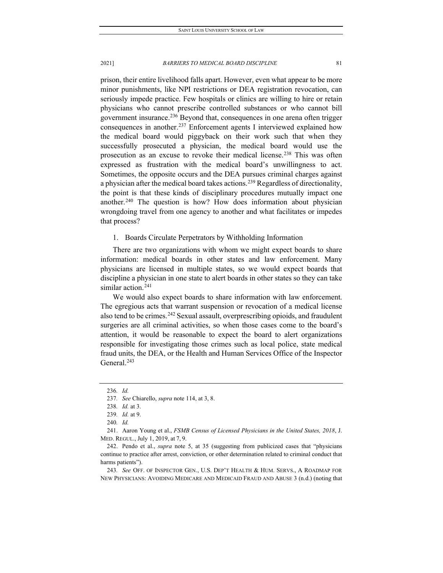prison, their entire livelihood falls apart. However, even what appear to be more minor punishments, like NPI restrictions or DEA registration revocation, can seriously impede practice. Few hospitals or clinics are willing to hire or retain physicians who cannot prescribe controlled substances or who cannot bill government insurance.<sup>[236](#page-27-0)</sup> Beyond that, consequences in one arena often trigger consequences in another.<sup>[237](#page-27-1)</sup> Enforcement agents I interviewed explained how the medical board would piggyback on their work such that when they successfully prosecuted a physician, the medical board would use the prosecution as an excuse to revoke their medical license.<sup>[238](#page-27-2)</sup> This was often expressed as frustration with the medical board's unwillingness to act. Sometimes, the opposite occurs and the DEA pursues criminal charges against a physician after the medical board takes actions.<sup>[239](#page-27-3)</sup> Regardless of directionality, the point is that these kinds of disciplinary procedures mutually impact one another.<sup>[240](#page-27-4)</sup> The question is how? How does information about physician wrongdoing travel from one agency to another and what facilitates or impedes that process?

1. Boards Circulate Perpetrators by Withholding Information

There are two organizations with whom we might expect boards to share information: medical boards in other states and law enforcement. Many physicians are licensed in multiple states, so we would expect boards that discipline a physician in one state to alert boards in other states so they can take similar action.<sup>[241](#page-27-5)</sup>

We would also expect boards to share information with law enforcement. The egregious acts that warrant suspension or revocation of a medical license also tend to be crimes.<sup>[242](#page-27-6)</sup> Sexual assault, overprescribing opioids, and fraudulent surgeries are all criminal activities, so when those cases come to the board's attention, it would be reasonable to expect the board to alert organizations responsible for investigating those crimes such as local police, state medical fraud units, the DEA, or the Health and Human Services Office of the Inspector General.<sup>[243](#page-27-7)</sup>

<span id="page-27-7"></span>243*. See* OFF. OF INSPECTOR GEN., U.S. DEP'T HEALTH & HUM. SERVS., A ROADMAP FOR NEW PHYSICIANS: AVOIDING MEDICARE AND MEDICAID FRAUD AND ABUSE 3 (n.d.) (noting that

<sup>236</sup>*. Id.*

<span id="page-27-1"></span><span id="page-27-0"></span><sup>237</sup>*. See* Chiarello, *supra* note 114, at 3, 8.

<sup>238</sup>*. Id.* at 3.

<sup>239</sup>*. Id.* at 9.

<sup>240</sup>*. Id.*

<span id="page-27-5"></span><span id="page-27-4"></span><span id="page-27-3"></span><span id="page-27-2"></span><sup>241.</sup> Aaron Young et al., *FSMB Census of Licensed Physicians in the United States, 2018*, J. MED. REGUL., July 1, 2019, at 7, 9.

<span id="page-27-6"></span><sup>242.</sup> Pendo et al., *supra* note 5, at 35 (suggesting from publicized cases that "physicians continue to practice after arrest, conviction, or other determination related to criminal conduct that harms patients").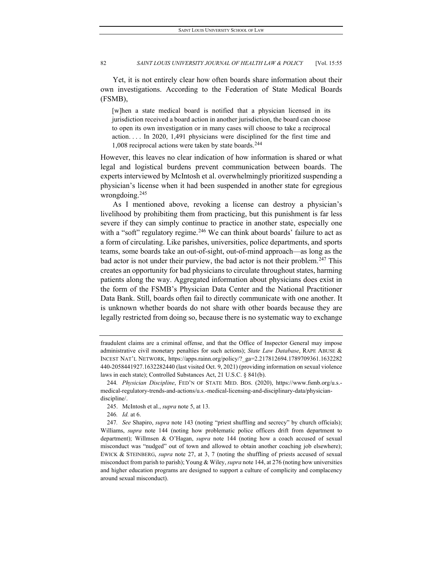Yet, it is not entirely clear how often boards share information about their own investigations. According to the Federation of State Medical Boards (FSMB),

[w]hen a state medical board is notified that a physician licensed in its jurisdiction received a board action in another jurisdiction, the board can choose to open its own investigation or in many cases will choose to take a reciprocal action. . . . In 2020, 1,491 physicians were disciplined for the first time and 1,008 reciprocal actions were taken by state boards. $244$ 

However, this leaves no clear indication of how information is shared or what legal and logistical burdens prevent communication between boards. The experts interviewed by McIntosh et al. overwhelmingly prioritized suspending a physician's license when it had been suspended in another state for egregious wrongdoing.[245](#page-28-1)

As I mentioned above, revoking a license can destroy a physician's livelihood by prohibiting them from practicing, but this punishment is far less severe if they can simply continue to practice in another state, especially one with a "soft" regulatory regime.<sup>[246](#page-28-2)</sup> We can think about boards' failure to act as a form of circulating. Like parishes, universities, police departments, and sports teams, some boards take an out-of-sight, out-of-mind approach—as long as the bad actor is not under their purview, the bad actor is not their problem.<sup>[247](#page-28-3)</sup> This creates an opportunity for bad physicians to circulate throughout states, harming patients along the way. Aggregated information about physicians does exist in the form of the FSMB's Physician Data Center and the National Practitioner Data Bank. Still, boards often fail to directly communicate with one another. It is unknown whether boards do not share with other boards because they are legally restricted from doing so, because there is no systematic way to exchange

246*. Id.* at 6.

fraudulent claims are a criminal offense, and that the Office of Inspector General may impose administrative civil monetary penalties for such actions); *State Law Database*, RAPE ABUSE & INCEST NAT'L NETWORK, https://apps.rainn.org/policy/?\_ga=2.217812694.1789709361.1632282 440-2058441927.1632282440 (last visited Oct. 9, 2021) (providing information on sexual violence laws in each state); Controlled Substances Act, 21 U.S.C. § 841(b).

<span id="page-28-0"></span><sup>244</sup>*. Physician Discipline*, FED'N OF STATE MED. BDS. (2020), https://www.fsmb.org/u.s. medical-regulatory-trends-and-actions/u.s.-medical-licensing-and-disciplinary-data/physiciandiscipline/.

<sup>245.</sup> McIntosh et al., *supra* note 5, at 13.

<span id="page-28-3"></span><span id="page-28-2"></span><span id="page-28-1"></span><sup>247</sup>*. See* Shapiro, *supra* note 143 (noting "priest shuffling and secrecy" by church officials); Williams, *supra* note 144 (noting how problematic police officers drift from department to department); Willmsen & O'Hagan, *supra* note 144 (noting how a coach accused of sexual misconduct was "nudged" out of town and allowed to obtain another coaching job elsewhere); EWICK & STEINBERG, *supra* note 27, at 3, 7 (noting the shuffling of priests accused of sexual misconduct from parish to parish); Young & Wiley, *supra* note 144, at 276 (noting how universities and higher education programs are designed to support a culture of complicity and complacency around sexual misconduct).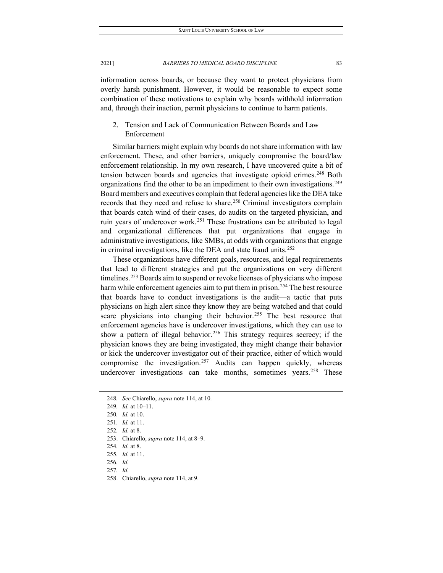information across boards, or because they want to protect physicians from overly harsh punishment. However, it would be reasonable to expect some combination of these motivations to explain why boards withhold information and, through their inaction, permit physicians to continue to harm patients.

# 2. Tension and Lack of Communication Between Boards and Law Enforcement

Similar barriers might explain why boards do not share information with law enforcement. These, and other barriers, uniquely compromise the board/law enforcement relationship. In my own research, I have uncovered quite a bit of tension between boards and agencies that investigate opioid crimes.<sup>[248](#page-29-0)</sup> Both organizations find the other to be an impediment to their own investigations.<sup>[249](#page-29-1)</sup> Board members and executives complain that federal agencies like the DEA take records that they need and refuse to share.<sup>[250](#page-29-2)</sup> Criminal investigators complain that boards catch wind of their cases, do audits on the targeted physician, and ruin years of undercover work.<sup>[251](#page-29-3)</sup> These frustrations can be attributed to legal and organizational differences that put organizations that engage in administrative investigations, like SMBs, at odds with organizations that engage in criminal investigations, like the DEA and state fraud units.<sup>[252](#page-29-4)</sup>

These organizations have different goals, resources, and legal requirements that lead to different strategies and put the organizations on very different timelines.<sup>[253](#page-29-5)</sup> Boards aim to suspend or revoke licenses of physicians who impose harm while enforcement agencies aim to put them in prison.<sup>[254](#page-29-6)</sup> The best resource that boards have to conduct investigations is the audit—a tactic that puts physicians on high alert since they know they are being watched and that could scare physicians into changing their behavior.<sup>[255](#page-29-7)</sup> The best resource that enforcement agencies have is undercover investigations, which they can use to show a pattern of illegal behavior.<sup>[256](#page-29-8)</sup> This strategy requires secrecy; if the physician knows they are being investigated, they might change their behavior or kick the undercover investigator out of their practice, either of which would compromise the investigation.<sup>[257](#page-29-9)</sup> Audits can happen quickly, whereas undercover investigations can take months, sometimes years.<sup>[258](#page-29-10)</sup> These

<span id="page-29-10"></span>258. Chiarello, *supra* note 114, at 9.

2021] *BARRIERS TO MEDICAL BOARD DISCIPLINE* 83

<span id="page-29-0"></span><sup>248</sup>*. See* Chiarello, *supra* note 114, at 10.

<span id="page-29-1"></span><sup>249</sup>*. Id.* at 10–11.

<span id="page-29-2"></span><sup>250</sup>*. Id.* at 10.

<span id="page-29-3"></span><sup>251</sup>*. Id.* at 11.

<span id="page-29-4"></span><sup>252</sup>*. Id.* at 8.

<span id="page-29-5"></span><sup>253.</sup> Chiarello, *supra* note 114, at 8–9.

<span id="page-29-6"></span><sup>254</sup>*. Id.* at 8.

<span id="page-29-7"></span><sup>255</sup>*. Id.* at 11.

<span id="page-29-8"></span><sup>256</sup>*. Id.*

<span id="page-29-9"></span><sup>257</sup>*. Id.*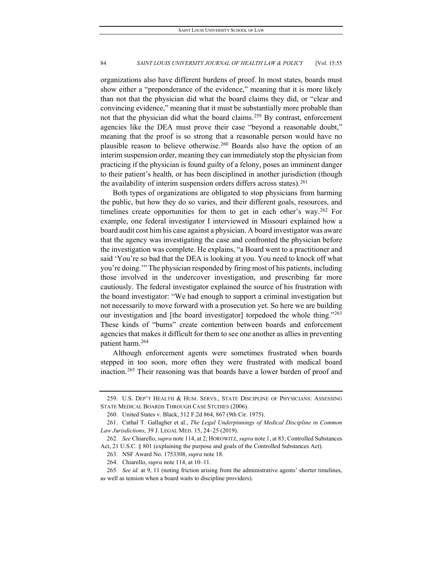organizations also have different burdens of proof. In most states, boards must show either a "preponderance of the evidence," meaning that it is more likely than not that the physician did what the board claims they did, or "clear and convincing evidence," meaning that it must be substantially more probable than not that the physician did what the board claims. [259](#page-30-0) By contrast, enforcement agencies like the DEA must prove their case "beyond a reasonable doubt," meaning that the proof is so strong that a reasonable person would have no plausible reason to believe otherwise.<sup>[260](#page-30-1)</sup> Boards also have the option of an interim suspension order, meaning they can immediately stop the physician from practicing if the physician is found guilty of a felony, poses an imminent danger to their patient's health, or has been disciplined in another jurisdiction (though the availability of interim suspension orders differs across states).  $261$ 

Both types of organizations are obligated to stop physicians from harming the public, but how they do so varies, and their different goals, resources, and timelines create opportunities for them to get in each other's way.[262](#page-30-3) For example, one federal investigator I interviewed in Missouri explained how a board audit cost him his case against a physician. A board investigator was aware that the agency was investigating the case and confronted the physician before the investigation was complete. He explains, "a Board went to a practitioner and said 'You're so bad that the DEA is looking at you. You need to knock off what you're doing.'" The physician responded by firing most of his patients, including those involved in the undercover investigation, and prescribing far more cautiously. The federal investigator explained the source of his frustration with the board investigator: "We had enough to support a criminal investigation but not necessarily to move forward with a prosecution yet. So here we are building our investigation and [the board investigator] torpedoed the whole thing.["263](#page-30-4) These kinds of "burns" create contention between boards and enforcement agencies that makes it difficult for them to see one another as allies in preventing patient harm.[264](#page-30-5)

Although enforcement agents were sometimes frustrated when boards stepped in too soon, more often they were frustrated with medical board inaction.[265](#page-30-6) Their reasoning was that boards have a lower burden of proof and

<span id="page-30-0"></span><sup>259.</sup> U.S. DEP'T HEALTH & HUM. SERVS., STATE DISCIPLINE OF PHYSICIANS: ASSESSING STATE MEDICAL BOARDS THROUGH CASE STUDIES (2006).

<sup>260.</sup> United States v. Black, 512 F.2d 864, 867 (9th Cir. 1975).

<span id="page-30-2"></span><span id="page-30-1"></span><sup>261.</sup> Cathal T. Gallagher et al., *The Legal Underpinnings of Medical Discipline in Common Law Jurisdictions*, 39 J. LEGAL MED. 15, 24–25 (2019).

<span id="page-30-4"></span><span id="page-30-3"></span><sup>262</sup>*. See* Chiarello, *supra* note 114, at 2; HOROWITZ, *supra* note 1, at 83; Controlled Substances Act, 21 U.S.C. § 801 (explaining the purpose and goals of the Controlled Substances Act).

<sup>263.</sup> NSF Award No. 1753308, *supra* note 18.

<sup>264.</sup> Chiarello, *supra* note 114, at 10–11.

<span id="page-30-6"></span><span id="page-30-5"></span><sup>265</sup>*. See id.* at 9, 11 (noting friction arising from the administrative agents' shorter timelines, as well as tension when a board waits to discipline providers).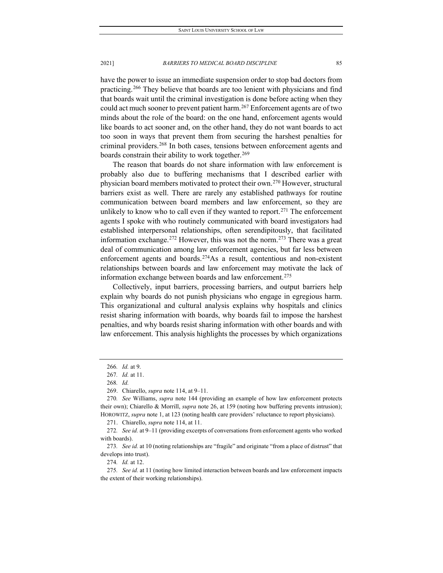have the power to issue an immediate suspension order to stop bad doctors from practicing.[266](#page-31-0) They believe that boards are too lenient with physicians and find that boards wait until the criminal investigation is done before acting when they could act much sooner to prevent patient harm.<sup>[267](#page-31-1)</sup> Enforcement agents are of two minds about the role of the board: on the one hand, enforcement agents would like boards to act sooner and, on the other hand, they do not want boards to act too soon in ways that prevent them from securing the harshest penalties for criminal providers.<sup>[268](#page-31-2)</sup> In both cases, tensions between enforcement agents and boards constrain their ability to work together.<sup>[269](#page-31-3)</sup>

The reason that boards do not share information with law enforcement is probably also due to buffering mechanisms that I described earlier with physician board members motivated to protect their own.[270](#page-31-4) However, structural barriers exist as well. There are rarely any established pathways for routine communication between board members and law enforcement, so they are unlikely to know who to call even if they wanted to report.<sup>[271](#page-31-5)</sup> The enforcement agents I spoke with who routinely communicated with board investigators had established interpersonal relationships, often serendipitously, that facilitated information exchange.<sup>[272](#page-31-6)</sup> However, this was not the norm.<sup>[273](#page-31-7)</sup> There was a great deal of communication among law enforcement agencies, but far less between enforcement agents and boards. $274$ As a result, contentious and non-existent relationships between boards and law enforcement may motivate the lack of information exchange between boards and law enforcement.<sup>[275](#page-31-9)</sup>

Collectively, input barriers, processing barriers, and output barriers help explain why boards do not punish physicians who engage in egregious harm. This organizational and cultural analysis explains why hospitals and clinics resist sharing information with boards, why boards fail to impose the harshest penalties, and why boards resist sharing information with other boards and with law enforcement. This analysis highlights the processes by which organizations

269. Chiarello, *supra* note 114, at 9–11.

271. Chiarello, *supra* note 114, at 11.

<span id="page-31-6"></span><span id="page-31-5"></span>272*. See id.* at 9–11 (providing excerpts of conversations from enforcement agents who worked with boards).

<span id="page-31-7"></span>273*. See id.* at 10 (noting relationships are "fragile" and originate "from a place of distrust" that develops into trust).

274*. Id.* at 12.

<sup>266</sup>*. Id.* at 9.

<sup>267</sup>*. Id.* at 11.

<sup>268</sup>*. Id.*

<span id="page-31-4"></span><span id="page-31-3"></span><span id="page-31-2"></span><span id="page-31-1"></span><span id="page-31-0"></span><sup>270</sup>*. See* Williams, *supra* note 144 (providing an example of how law enforcement protects their own); Chiarello & Morrill, *supra* note 26, at 159 (noting how buffering prevents intrusion); HOROWITZ, *supra* note 1, at 123 (noting health care providers' reluctance to report physicians).

<span id="page-31-9"></span><span id="page-31-8"></span><sup>275</sup>*. See id.* at 11 (noting how limited interaction between boards and law enforcement impacts the extent of their working relationships).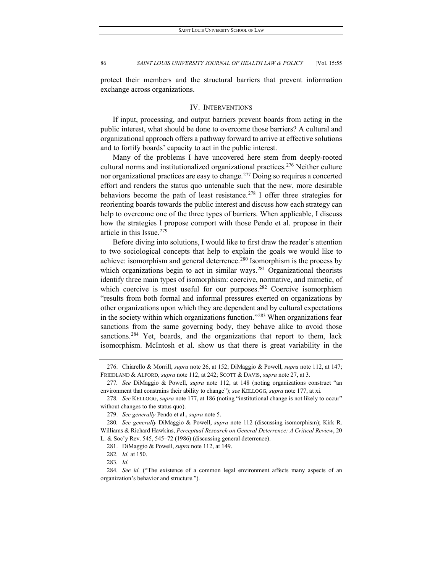protect their members and the structural barriers that prevent information exchange across organizations.

## IV. INTERVENTIONS

If input, processing, and output barriers prevent boards from acting in the public interest, what should be done to overcome those barriers? A cultural and organizational approach offers a pathway forward to arrive at effective solutions and to fortify boards' capacity to act in the public interest.

Many of the problems I have uncovered here stem from deeply-rooted cultural norms and institutionalized organizational practices.[276](#page-32-0) Neither culture nor organizational practices are easy to change.<sup>[277](#page-32-1)</sup> Doing so requires a concerted effort and renders the status quo untenable such that the new, more desirable behaviors become the path of least resistance.<sup>[278](#page-32-2)</sup> I offer three strategies for reorienting boards towards the public interest and discuss how each strategy can help to overcome one of the three types of barriers. When applicable, I discuss how the strategies I propose comport with those Pendo et al. propose in their article in this Issue.[279](#page-32-3)

Before diving into solutions, I would like to first draw the reader's attention to two sociological concepts that help to explain the goals we would like to achieve: isomorphism and general deterrence.<sup>[280](#page-32-4)</sup> Isomorphism is the process by which organizations begin to act in similar ways.<sup>[281](#page-32-5)</sup> Organizational theorists identify three main types of isomorphism: coercive, normative, and mimetic, of which coercive is most useful for our purposes.<sup>[282](#page-32-6)</sup> Coercive isomorphism "results from both formal and informal pressures exerted on organizations by other organizations upon which they are dependent and by cultural expectations in the society within which organizations function."[283](#page-32-7) When organizations fear sanctions from the same governing body, they behave alike to avoid those sanctions.<sup>[284](#page-32-8)</sup> Yet, boards, and the organizations that report to them, lack isomorphism. McIntosh et al. show us that there is great variability in the

<span id="page-32-0"></span><sup>276.</sup> Chiarello & Morrill, *supra* note 26, at 152; DiMaggio & Powell, *supra* note 112, at 147; FRIEDLAND & ALFORD, *supra* note 112, at 242; SCOTT & DAVIS, *supra* note 27, at 3.

<span id="page-32-1"></span><sup>277</sup>*. See* DiMaggio & Powell, *supra* note 112, at 148 (noting organizations construct "an environment that constrains their ability to change"); *see* KELLOGG, *supra* note 177, at xi.

<span id="page-32-2"></span><sup>278</sup>*. See* KELLOGG, *supra* note 177, at 186 (noting "institutional change is not likely to occur" without changes to the status quo).

<sup>279.</sup> *See generally* Pendo et al., *supra* note 5.

<span id="page-32-5"></span><span id="page-32-4"></span><span id="page-32-3"></span><sup>280</sup>*. See generally* DiMaggio & Powell, *supra* note 112 (discussing isomorphism); Kirk R. Williams & Richard Hawkins, *Perceptual Research on General Deterrence: A Critical Review*, 20 L. & Soc'y Rev. 545, 545–72 (1986) (discussing general deterrence).

<sup>281.</sup> DiMaggio & Powell, *supra* note 112, at 149.

<sup>282</sup>*. Id.* at 150.

<sup>283</sup>*. Id.*

<span id="page-32-8"></span><span id="page-32-7"></span><span id="page-32-6"></span><sup>284</sup>*. See id.* ("The existence of a common legal environment affects many aspects of an organization's behavior and structure.").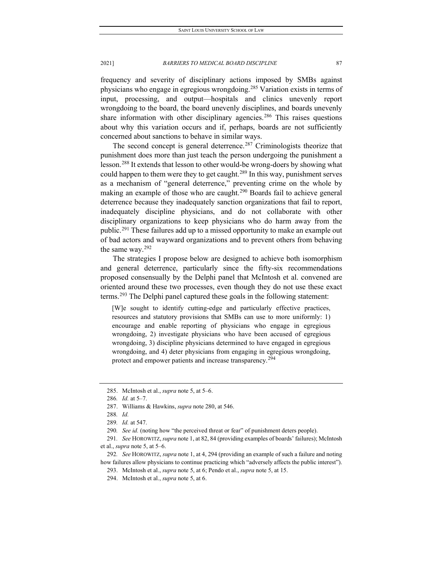frequency and severity of disciplinary actions imposed by SMBs against physicians who engage in egregious wrongdoing.[285](#page-33-0) Variation exists in terms of input, processing, and output—hospitals and clinics unevenly report wrongdoing to the board, the board unevenly disciplines, and boards unevenly share information with other disciplinary agencies.<sup>[286](#page-33-1)</sup> This raises questions about why this variation occurs and if, perhaps, boards are not sufficiently concerned about sanctions to behave in similar ways.

The second concept is general deterrence.<sup>[287](#page-33-2)</sup> Criminologists theorize that punishment does more than just teach the person undergoing the punishment a lesson.[288](#page-33-3) It extends that lesson to other would-be wrong-doers by showing what could happen to them were they to get caught.<sup>[289](#page-33-4)</sup> In this way, punishment serves as a mechanism of "general deterrence," preventing crime on the whole by making an example of those who are caught.<sup>[290](#page-33-5)</sup> Boards fail to achieve general deterrence because they inadequately sanction organizations that fail to report, inadequately discipline physicians, and do not collaborate with other disciplinary organizations to keep physicians who do harm away from the public.<sup>[291](#page-33-6)</sup> These failures add up to a missed opportunity to make an example out of bad actors and wayward organizations and to prevent others from behaving the same way.[292](#page-33-7)

The strategies I propose below are designed to achieve both isomorphism and general deterrence, particularly since the fifty-six recommendations proposed consensually by the Delphi panel that McIntosh et al. convened are oriented around these two processes, even though they do not use these exact terms.[293](#page-33-8) The Delphi panel captured these goals in the following statement:

[W]e sought to identify cutting-edge and particularly effective practices, resources and statutory provisions that SMBs can use to more uniformly: 1) encourage and enable reporting of physicians who engage in egregious wrongdoing, 2) investigate physicians who have been accused of egregious wrongdoing, 3) discipline physicians determined to have engaged in egregious wrongdoing, and 4) deter physicians from engaging in egregious wrongdoing, protect and empower patients and increase transparency.<sup>[294](#page-33-9)</sup>

293. McIntosh et al., *supra* note 5, at 6; Pendo et al., *supra* note 5, at 15.

<span id="page-33-0"></span><sup>285.</sup> McIntosh et al., *supra* note 5, at 5–6.

<span id="page-33-1"></span><sup>286</sup>*. Id.* at 5–7.

<sup>287.</sup> Williams & Hawkins, *supra* note 280, at 546.

<sup>288</sup>*. Id.*

<sup>289</sup>*. Id.* at 547.

<sup>290</sup>*. See id.* (noting how "the perceived threat or fear" of punishment deters people).

<span id="page-33-6"></span><span id="page-33-5"></span><span id="page-33-4"></span><span id="page-33-3"></span><span id="page-33-2"></span><sup>291</sup>*. See* HOROWITZ, *supra* note 1, at 82, 84 (providing examples of boards' failures); McIntosh et al., *supra* note 5, at 5–6.

<span id="page-33-9"></span><span id="page-33-8"></span><span id="page-33-7"></span><sup>292</sup>*. See* HOROWITZ, *supra* note 1, at 4, 294 (providing an example of such a failure and noting how failures allow physicians to continue practicing which "adversely affects the public interest").

<sup>294.</sup> McIntosh et al., *supra* note 5, at 6.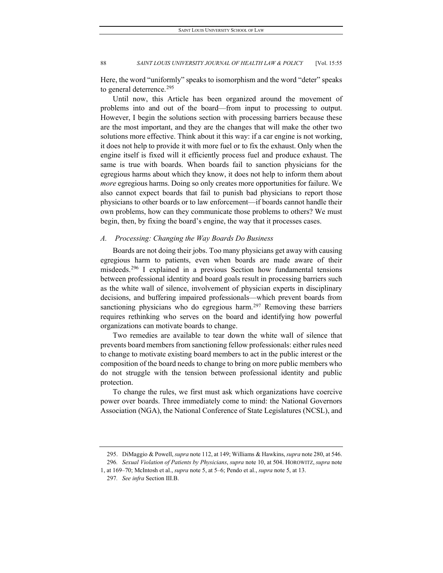Here, the word "uniformly" speaks to isomorphism and the word "deter" speaks to general deterrence.<sup>[295](#page-34-0)</sup>

Until now, this Article has been organized around the movement of problems into and out of the board—from input to processing to output. However, I begin the solutions section with processing barriers because these are the most important, and they are the changes that will make the other two solutions more effective. Think about it this way: if a car engine is not working, it does not help to provide it with more fuel or to fix the exhaust. Only when the engine itself is fixed will it efficiently process fuel and produce exhaust. The same is true with boards. When boards fail to sanction physicians for the egregious harms about which they know, it does not help to inform them about *more* egregious harms. Doing so only creates more opportunities for failure. We also cannot expect boards that fail to punish bad physicians to report those physicians to other boards or to law enforcement—if boards cannot handle their own problems, how can they communicate those problems to others? We must begin, then, by fixing the board's engine, the way that it processes cases.

#### *A. Processing: Changing the Way Boards Do Business*

Boards are not doing their jobs. Too many physicians get away with causing egregious harm to patients, even when boards are made aware of their misdeeds.[296](#page-34-1) I explained in a previous Section how fundamental tensions between professional identity and board goals result in processing barriers such as the white wall of silence, involvement of physician experts in disciplinary decisions, and buffering impaired professionals—which prevent boards from sanctioning physicians who do egregious harm.<sup>[297](#page-34-2)</sup> Removing these barriers requires rethinking who serves on the board and identifying how powerful organizations can motivate boards to change.

Two remedies are available to tear down the white wall of silence that prevents board members from sanctioning fellow professionals: either rules need to change to motivate existing board members to act in the public interest or the composition of the board needs to change to bring on more public members who do not struggle with the tension between professional identity and public protection.

To change the rules, we first must ask which organizations have coercive power over boards. Three immediately come to mind: the National Governors Association (NGA), the National Conference of State Legislatures (NCSL), and

<sup>295.</sup> DiMaggio & Powell, *supra* note 112, at 149; Williams & Hawkins, *supra* note 280, at 546.

<span id="page-34-2"></span><span id="page-34-1"></span><span id="page-34-0"></span><sup>296</sup>*. Sexual Violation of Patients by Physicians*, *supra* note 10, at 504. HOROWITZ, *supra* note 1, at 169–70; McIntosh et al., *supra* note 5, at 5–6; Pendo et al., *supra* note 5, at 13.

<sup>297</sup>*. See infra* Section III.B.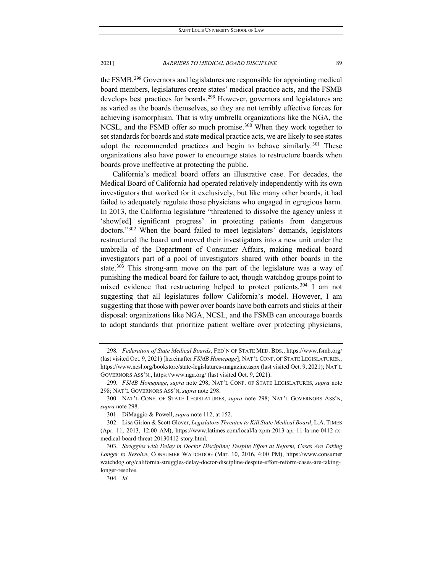the FSMB.[298](#page-35-0) Governors and legislatures are responsible for appointing medical board members, legislatures create states' medical practice acts, and the FSMB develops best practices for boards.<sup>[299](#page-35-1)</sup> However, governors and legislatures are as varied as the boards themselves, so they are not terribly effective forces for achieving isomorphism. That is why umbrella organizations like the NGA, the NCSL, and the FSMB offer so much promise.<sup>[300](#page-35-2)</sup> When they work together to set standards for boards and state medical practice acts, we are likely to see states adopt the recommended practices and begin to behave similarly.<sup>[301](#page-35-3)</sup> These organizations also have power to encourage states to restructure boards when boards prove ineffective at protecting the public.

California's medical board offers an illustrative case. For decades, the Medical Board of California had operated relatively independently with its own investigators that worked for it exclusively, but like many other boards, it had failed to adequately regulate those physicians who engaged in egregious harm. In 2013, the California legislature "threatened to dissolve the agency unless it 'show[ed] significant progress' in protecting patients from dangerous doctors."[302](#page-35-4) When the board failed to meet legislators' demands, legislators restructured the board and moved their investigators into a new unit under the umbrella of the Department of Consumer Affairs, making medical board investigators part of a pool of investigators shared with other boards in the state.<sup>[303](#page-35-5)</sup> This strong-arm move on the part of the legislature was a way of punishing the medical board for failure to act, though watchdog groups point to mixed evidence that restructuring helped to protect patients.<sup>[304](#page-35-6)</sup> I am not suggesting that all legislatures follow California's model. However, I am suggesting that those with power over boards have both carrots and sticks at their disposal: organizations like NGA, NCSL, and the FSMB can encourage boards to adopt standards that prioritize patient welfare over protecting physicians,

<span id="page-35-0"></span><sup>298</sup>*. Federation of State Medical Boards*, FED'N OF STATE MED. BDS., https://www.fsmb.org/ (last visited Oct. 9, 2021) [hereinafter *FSMB Homepage*]; NAT'L CONF. OF STATE LEGISLATURES., https://www.ncsl.org/bookstore/state-legislatures-magazine.aspx (last visited Oct. 9, 2021); NAT'L GOVERNORS ASS'N., https://www.nga.org/ (last visited Oct. 9, 2021).

<span id="page-35-1"></span><sup>299</sup>*. FSMB Homepage*, *supra* note 298; NAT'L CONF. OF STATE LEGISLATURES, *supra* note 298; NAT'L GOVERNORS ASS'N, *supra* note 298.

<span id="page-35-2"></span><sup>300.</sup> NAT'L CONF. OF STATE LEGISLATURES, *supra* note 298; NAT'L GOVERNORS ASS'N, *supra* note 298.

<sup>301.</sup> DiMaggio & Powell, *supra* note 112, at 152.

<span id="page-35-4"></span><span id="page-35-3"></span><sup>302.</sup> Lisa Girion & Scott Glover, *Legislators Threaten to Kill State Medical Board*, L.A. TIMES (Apr. 11, 2013, 12:00 AM), https://www.latimes.com/local/la-xpm-2013-apr-11-la-me-0412-rxmedical-board-threat-20130412-story.html.

<span id="page-35-6"></span><span id="page-35-5"></span><sup>303</sup>*. Struggles with Delay in Doctor Discipline; Despite Effort at Reform, Cases Are Taking Longer to Resolve*, CONSUMER WATCHDOG (Mar. 10, 2016, 4:00 PM), https://www.consumer watchdog.org/california-struggles-delay-doctor-discipline-despite-effort-reform-cases-are-takinglonger-resolve.

<sup>304</sup>*. Id.*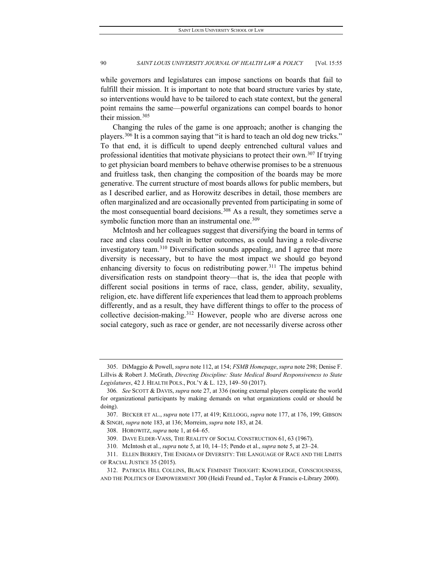while governors and legislatures can impose sanctions on boards that fail to fulfill their mission. It is important to note that board structure varies by state, so interventions would have to be tailored to each state context, but the general point remains the same—powerful organizations can compel boards to honor their mission.<sup>[305](#page-36-0)</sup>

Changing the rules of the game is one approach; another is changing the players. [306](#page-36-1) It is a common saying that "it is hard to teach an old dog new tricks." To that end, it is difficult to upend deeply entrenched cultural values and professional identities that motivate physicians to protect their own.<sup>[307](#page-36-2)</sup> If trying to get physician board members to behave otherwise promises to be a strenuous and fruitless task, then changing the composition of the boards may be more generative. The current structure of most boards allows for public members, but as I described earlier, and as Horowitz describes in detail, those members are often marginalized and are occasionally prevented from participating in some of the most consequential board decisions.<sup>[308](#page-36-3)</sup> As a result, they sometimes serve a symbolic function more than an instrumental one.<sup>[309](#page-36-4)</sup>

McIntosh and her colleagues suggest that diversifying the board in terms of race and class could result in better outcomes, as could having a role-diverse investigatory team.[310](#page-36-5) Diversification sounds appealing, and I agree that more diversity is necessary, but to have the most impact we should go beyond enhancing diversity to focus on redistributing power.<sup>[311](#page-36-6)</sup> The impetus behind diversification rests on standpoint theory—that is, the idea that people with different social positions in terms of race, class, gender, ability, sexuality, religion, etc. have different life experiences that lead them to approach problems differently, and as a result, they have different things to offer to the process of collective decision-making.<sup>[312](#page-36-7)</sup> However, people who are diverse across one social category, such as race or gender, are not necessarily diverse across other

<span id="page-36-0"></span><sup>305.</sup> DiMaggio & Powell, *supra* note 112, at 154; *FSMB Homepage*,*supra* note 298; Denise F. Lillvis & Robert J. McGrath, *Directing Discipline: State Medical Board Responsiveness to State Legislatures*, 42 J. HEALTH POLS., POL'Y & L. 123, 149–50 (2017).

<span id="page-36-1"></span><sup>306</sup>*. See* SCOTT & DAVIS, *supra* note 27, at 336 (noting external players complicate the world for organizational participants by making demands on what organizations could or should be doing).

<span id="page-36-3"></span><span id="page-36-2"></span><sup>307.</sup> BECKER ET AL., *supra* note 177, at 419; KELLOGG, *supra* note 177, at 176, 199; GIBSON & SINGH, *supra* note 183, at 136; Morreim, *supra* note 183, at 24.

<sup>308.</sup> HOROWITZ, *supra* note 1, at 64–65.

<sup>309.</sup> DAVE ELDER-VASS, THE REALITY OF SOCIAL CONSTRUCTION 61, 63 (1967).

<sup>310.</sup> McIntosh et al., *supra* note 5, at 10, 14–15; Pendo et al., *supra* note 5, at 23–24.

<span id="page-36-6"></span><span id="page-36-5"></span><span id="page-36-4"></span><sup>311.</sup> ELLEN BERREY, THE ENIGMA OF DIVERSITY: THE LANGUAGE OF RACE AND THE LIMITS OF RACIAL JUSTICE 35 (2015).

<span id="page-36-7"></span><sup>312.</sup> PATRICIA HILL COLLINS, BLACK FEMINIST THOUGHT: KNOWLEDGE, CONSCIOUSNESS, AND THE POLITICS OF EMPOWERMENT 300 (Heidi Freund ed., Taylor & Francis e-Library 2000).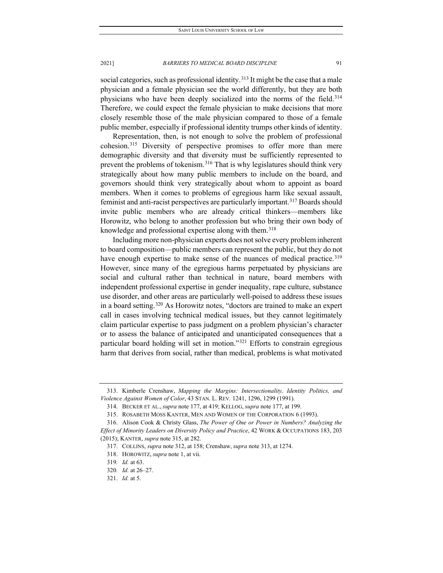social categories, such as professional identity.<sup>[313](#page-37-0)</sup> It might be the case that a male physician and a female physician see the world differently, but they are both physicians who have been deeply socialized into the norms of the field.<sup>314</sup> Therefore, we could expect the female physician to make decisions that more closely resemble those of the male physician compared to those of a female public member, especially if professional identity trumps other kinds of identity.

Representation, then, is not enough to solve the problem of professional cohesion[.315](#page-37-2) Diversity of perspective promises to offer more than mere demographic diversity and that diversity must be sufficiently represented to prevent the problems of tokenism.<sup>[316](#page-37-3)</sup> That is why legislatures should think very strategically about how many public members to include on the board, and governors should think very strategically about whom to appoint as board members. When it comes to problems of egregious harm like sexual assault, feminist and anti-racist perspectives are particularly important.<sup>317</sup> Boards should invite public members who are already critical thinkers—members like Horowitz, who belong to another profession but who bring their own body of knowledge and professional expertise along with them.<sup>[318](#page-37-5)</sup>

Including more non-physician experts does not solve every problem inherent to board composition—public members can represent the public, but they do not have enough expertise to make sense of the nuances of medical practice.<sup>[319](#page-37-6)</sup> However, since many of the egregious harms perpetuated by physicians are social and cultural rather than technical in nature, board members with independent professional expertise in gender inequality, rape culture, substance use disorder, and other areas are particularly well-poised to address these issues in a board setting.[320](#page-37-7) As Horowitz notes, "doctors are trained to make an expert call in cases involving technical medical issues, but they cannot legitimately claim particular expertise to pass judgment on a problem physician's character or to assess the balance of anticipated and unanticipated consequences that a particular board holding will set in motion."[321](#page-37-8) Efforts to constrain egregious harm that derives from social, rather than medical, problems is what motivated

<span id="page-37-1"></span><span id="page-37-0"></span><sup>313.</sup> Kimberle Crenshaw, *Mapping the Margins: Intersectionality, Identity Politics, and Violence Against Women of Color*, 43 STAN. L. REV*.* 1241, 1296, 1299 (1991).

<sup>314.</sup> BECKER ET AL., *supra* note 177, at 419; KELLOG, *supra* note 177, at 199.

<sup>315.</sup> ROSABETH MOSS KANTER, MEN AND WOMEN OF THE CORPORATION 6 (1993).

<span id="page-37-5"></span><span id="page-37-4"></span><span id="page-37-3"></span><span id="page-37-2"></span><sup>316.</sup> Alison Cook & Christy Glass, *The Power of One or Power in Numbers? Analyzing the Effect of Minority Leaders on Diversity Policy and Practice*, 42 WORK & OCCUPATIONS 183, 203 (2015); KANTER, *supra* note 315, at 282.

<sup>317.</sup> COLLINS, *supra* note 312, at 158; Crenshaw, *supra* note 313, at 1274.

<sup>318.</sup> HOROWITZ, *supra* note 1, at vii.

<span id="page-37-6"></span><sup>319</sup>*. Id.* at 63.

<sup>320</sup>*. Id.* at 26–27.

<span id="page-37-8"></span><span id="page-37-7"></span><sup>321.</sup> *Id.* at 5.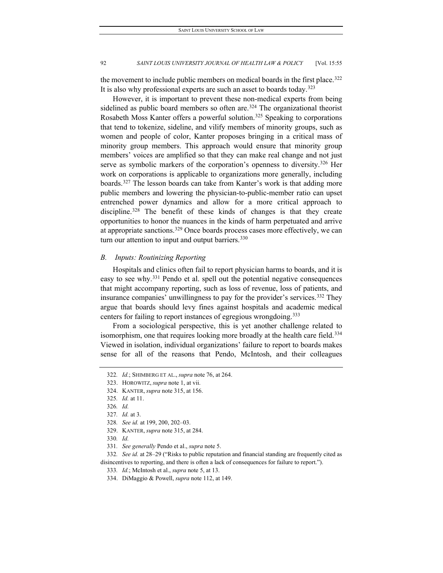the movement to include public members on medical boards in the first place.<sup>322</sup> It is also why professional experts are such an asset to boards today.<sup>[323](#page-38-1)</sup>

However, it is important to prevent these non-medical experts from being sidelined as public board members so often are.<sup>[324](#page-38-2)</sup> The organizational theorist Rosabeth Moss Kanter offers a powerful solution.<sup>[325](#page-38-3)</sup> Speaking to corporations that tend to tokenize, sideline, and vilify members of minority groups, such as women and people of color, Kanter proposes bringing in a critical mass of minority group members. This approach would ensure that minority group members' voices are amplified so that they can make real change and not just serve as symbolic markers of the corporation's openness to diversity.<sup>[326](#page-38-4)</sup> Her work on corporations is applicable to organizations more generally, including boards.[327](#page-38-5) The lesson boards can take from Kanter's work is that adding more public members and lowering the physician-to-public-member ratio can upset entrenched power dynamics and allow for a more critical approach to discipline.<sup>[328](#page-38-6)</sup> The benefit of these kinds of changes is that they create opportunities to honor the nuances in the kinds of harm perpetuated and arrive at appropriate sanctions.<sup>[329](#page-38-7)</sup> Once boards process cases more effectively, we can turn our attention to input and output barriers.  $330$ 

#### *B. Inputs: Routinizing Reporting*

Hospitals and clinics often fail to report physician harms to boards, and it is easy to see why.<sup>[331](#page-38-9)</sup> Pendo et al. spell out the potential negative consequences that might accompany reporting, such as loss of revenue, loss of patients, and insurance companies' unwillingness to pay for the provider's services.<sup>[332](#page-38-10)</sup> They argue that boards should levy fines against hospitals and academic medical centers for failing to report instances of egregious wrongdoing.<sup>[333](#page-38-11)</sup>

From a sociological perspective, this is yet another challenge related to isomorphism, one that requires looking more broadly at the health care field.<sup>[334](#page-38-12)</sup> Viewed in isolation, individual organizations' failure to report to boards makes sense for all of the reasons that Pendo, McIntosh, and their colleagues

<span id="page-38-5"></span>327*. Id.* at 3.

- 330*. Id.*
- 331*. See generally* Pendo et al., *supra* note 5.

<span id="page-38-12"></span><span id="page-38-11"></span><span id="page-38-10"></span><span id="page-38-9"></span><span id="page-38-8"></span><span id="page-38-7"></span><span id="page-38-6"></span>332*. See id.* at 28–29 ("Risks to public reputation and financial standing are frequently cited as disincentives to reporting, and there is often a lack of consequences for failure to report.").

<span id="page-38-0"></span><sup>322</sup>*. Id.*; SHIMBERG ET AL., *supra* note 76, at 264.

<span id="page-38-1"></span><sup>323.</sup> HOROWITZ, *supra* note 1, at vii.

<span id="page-38-2"></span><sup>324.</sup> KANTER, *supra* note 315, at 156.

<span id="page-38-3"></span><sup>325</sup>*. Id.* at 11.

<span id="page-38-4"></span><sup>326</sup>*. Id.*

<sup>328</sup>*. See id.* at 199, 200, 202–03.

<sup>329.</sup> KANTER, *supra* note 315, at 284.

<sup>333</sup>*. Id.*; McIntosh et al., *supra* note 5, at 13.

<sup>334.</sup> DiMaggio & Powell, *supra* note 112, at 149.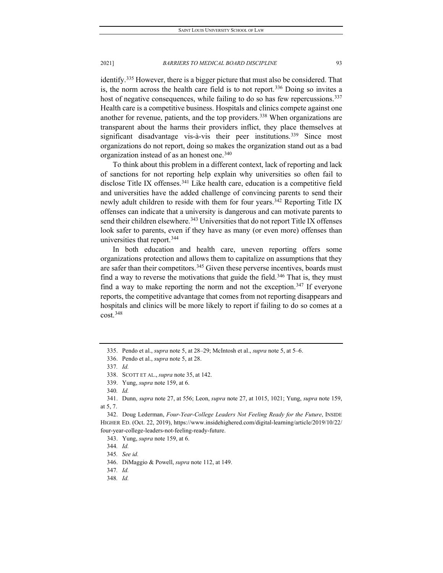identify.[335](#page-39-0) However, there is a bigger picture that must also be considered. That is, the norm across the health care field is to not report.<sup>[336](#page-39-1)</sup> Doing so invites a host of negative consequences, while failing to do so has few repercussions.<sup>337</sup> Health care is a competitive business. Hospitals and clinics compete against one another for revenue, patients, and the top providers.<sup>[338](#page-39-3)</sup> When organizations are transparent about the harms their providers inflict, they place themselves at significant disadvantage vis-à-vis their peer institutions.<sup>[339](#page-39-4)</sup> Since most organizations do not report, doing so makes the organization stand out as a bad organization instead of as an honest one.<sup>[340](#page-39-5)</sup>

To think about this problem in a different context, lack of reporting and lack of sanctions for not reporting help explain why universities so often fail to disclose Title IX offenses.<sup>[341](#page-39-6)</sup> Like health care, education is a competitive field and universities have the added challenge of convincing parents to send their newly adult children to reside with them for four years.<sup>[342](#page-39-7)</sup> Reporting Title IX offenses can indicate that a university is dangerous and can motivate parents to send their children elsewhere.<sup>[343](#page-39-8)</sup> Universities that do not report Title IX offenses look safer to parents, even if they have as many (or even more) offenses than universities that report.[344](#page-39-9)

In both education and health care, uneven reporting offers some organizations protection and allows them to capitalize on assumptions that they are safer than their competitors.<sup>[345](#page-39-10)</sup> Given these perverse incentives, boards must find a way to reverse the motivations that guide the field.<sup>[346](#page-39-11)</sup> That is, they must find a way to make reporting the norm and not the exception.<sup>[347](#page-39-12)</sup> If everyone reports, the competitive advantage that comes from not reporting disappears and hospitals and clinics will be more likely to report if failing to do so comes at a cost.[348](#page-39-13)

<span id="page-39-0"></span><sup>335.</sup> Pendo et al., *supra* note 5, at 28–29; McIntosh et al., *supra* note 5, at 5–6.

<span id="page-39-1"></span><sup>336.</sup> Pendo et al., *supra* note 5, at 28.

<sup>337</sup>*. Id.*

<sup>338.</sup> SCOTT ET AL., *supra* note 35, at 142.

<sup>339.</sup> Yung, *supra* note 159, at 6.

<sup>340</sup>*. Id.*

<span id="page-39-6"></span><span id="page-39-5"></span><span id="page-39-4"></span><span id="page-39-3"></span><span id="page-39-2"></span><sup>341.</sup> Dunn, *supra* note 27, at 556; Leon, *supra* note 27, at 1015, 1021; Yung, *supra* note 159, at 5, 7.

<span id="page-39-9"></span><span id="page-39-8"></span><span id="page-39-7"></span><sup>342.</sup> Doug Lederman, *Four-Year-College Leaders Not Feeling Ready for the Future*, INSIDE HIGHER ED. (Oct. 22, 2019), https://www.insidehighered.com/digital-learning/article/2019/10/22/ four-year-college-leaders-not-feeling-ready-future.

<sup>343.</sup> Yung, *supra* note 159, at 6.

<sup>344</sup>*. Id.*

<span id="page-39-10"></span><sup>345</sup>*. See id.*

<sup>346.</sup> DiMaggio & Powell, *supra* note 112, at 149.

<span id="page-39-12"></span><span id="page-39-11"></span><sup>347</sup>*. Id.*

<span id="page-39-13"></span><sup>348</sup>*. Id.*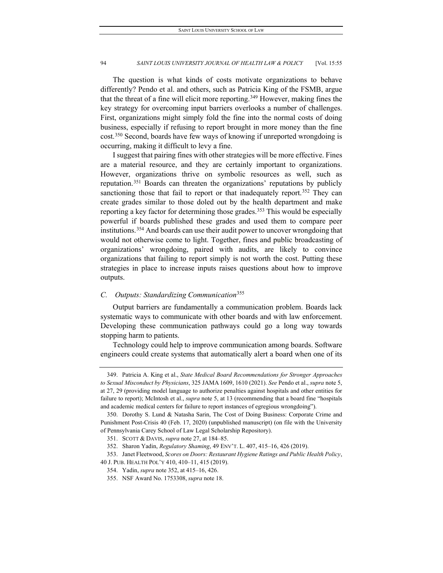The question is what kinds of costs motivate organizations to behave differently? Pendo et al. and others, such as Patricia King of the FSMB, argue that the threat of a fine will elicit more reporting.<sup>[349](#page-40-0)</sup> However, making fines the key strategy for overcoming input barriers overlooks a number of challenges. First, organizations might simply fold the fine into the normal costs of doing business, especially if refusing to report brought in more money than the fine cost.[350](#page-40-1) Second, boards have few ways of knowing if unreported wrongdoing is occurring, making it difficult to levy a fine.

I suggest that pairing fines with other strategies will be more effective. Fines are a material resource, and they are certainly important to organizations. However, organizations thrive on symbolic resources as well, such as reputation.[351](#page-40-2) Boards can threaten the organizations' reputations by publicly sanctioning those that fail to report or that inadequately report.<sup>[352](#page-40-3)</sup> They can create grades similar to those doled out by the health department and make reporting a key factor for determining those grades.<sup>353</sup> This would be especially powerful if boards published these grades and used them to compare peer institutions.<sup>[354](#page-40-5)</sup> And boards can use their audit power to uncover wrongdoing that would not otherwise come to light. Together, fines and public broadcasting of organizations' wrongdoing, paired with audits, are likely to convince organizations that failing to report simply is not worth the cost. Putting these strategies in place to increase inputs raises questions about how to improve outputs.

# *C. Outputs: Standardizing Communication*[355](#page-40-6)

Output barriers are fundamentally a communication problem. Boards lack systematic ways to communicate with other boards and with law enforcement. Developing these communication pathways could go a long way towards stopping harm to patients.

Technology could help to improve communication among boards. Software engineers could create systems that automatically alert a board when one of its

<span id="page-40-0"></span><sup>349.</sup> Patricia A. King et al., *State Medical Board Recommendations for Stronger Approaches to Sexual Misconduct by Physicians*, 325 JAMA 1609, 1610 (2021). *See* Pendo et al., *supra* note 5, at 27, 29 (providing model language to authorize penalties against hospitals and other entities for failure to report); McIntosh et al., *supra* note 5, at 13 (recommending that a board fine "hospitals and academic medical centers for failure to report instances of egregious wrongdoing").

<span id="page-40-1"></span><sup>350.</sup> Dorothy S. Lund & Natasha Sarin, The Cost of Doing Business: Corporate Crime and Punishment Post-Crisis 40 (Feb. 17, 2020) (unpublished manuscript) (on file with the University of Pennsylvania Carey School of Law Legal Scholarship Repository).

<sup>351.</sup> SCOTT & DAVIS, *supra* note 27, at 184–85.

<sup>352.</sup> Sharon Yadin, *Regulatory Shaming*, 49 ENV'T. L. 407, 415–16, 426 (2019).

<span id="page-40-6"></span><span id="page-40-5"></span><span id="page-40-4"></span><span id="page-40-3"></span><span id="page-40-2"></span><sup>353.</sup> Janet Fleetwood, *Scores on Doors: Restaurant Hygiene Ratings and Public Health Policy*, 40 J. PUB. HEALTH POL'Y 410, 410–11, 415 (2019).

<sup>354.</sup> Yadin, *supra* note 352, at 415–16, 426.

<sup>355.</sup> NSF Award No. 1753308, *supra* note 18.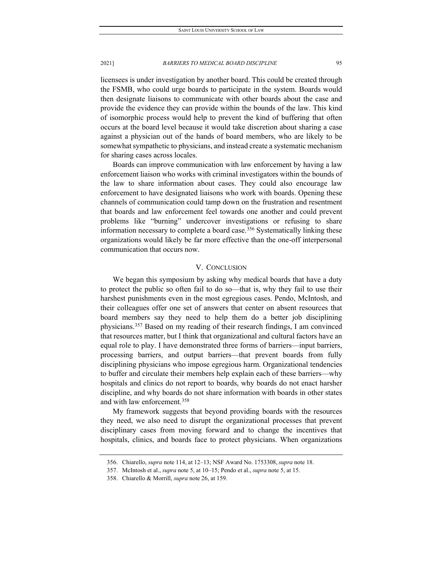licensees is under investigation by another board. This could be created through the FSMB, who could urge boards to participate in the system. Boards would then designate liaisons to communicate with other boards about the case and provide the evidence they can provide within the bounds of the law. This kind of isomorphic process would help to prevent the kind of buffering that often occurs at the board level because it would take discretion about sharing a case against a physician out of the hands of board members, who are likely to be somewhat sympathetic to physicians, and instead create a systematic mechanism for sharing cases across locales.

Boards can improve communication with law enforcement by having a law enforcement liaison who works with criminal investigators within the bounds of the law to share information about cases. They could also encourage law enforcement to have designated liaisons who work with boards. Opening these channels of communication could tamp down on the frustration and resentment that boards and law enforcement feel towards one another and could prevent problems like "burning" undercover investigations or refusing to share information necessary to complete a board case.<sup>356</sup> Systematically linking these organizations would likely be far more effective than the one-off interpersonal communication that occurs now.

#### V. CONCLUSION

We began this symposium by asking why medical boards that have a duty to protect the public so often fail to do so—that is, why they fail to use their harshest punishments even in the most egregious cases. Pendo, McIntosh, and their colleagues offer one set of answers that center on absent resources that board members say they need to help them do a better job disciplining physicians.[357](#page-41-1) Based on my reading of their research findings, I am convinced that resources matter, but I think that organizational and cultural factors have an equal role to play. I have demonstrated three forms of barriers—input barriers, processing barriers, and output barriers—that prevent boards from fully disciplining physicians who impose egregious harm. Organizational tendencies to buffer and circulate their members help explain each of these barriers—why hospitals and clinics do not report to boards, why boards do not enact harsher discipline, and why boards do not share information with boards in other states and with law enforcement[.358](#page-41-2)

My framework suggests that beyond providing boards with the resources they need, we also need to disrupt the organizational processes that prevent disciplinary cases from moving forward and to change the incentives that hospitals, clinics, and boards face to protect physicians. When organizations

<sup>356.</sup> Chiarello, *supra* note 114, at 12–13; NSF Award No. 1753308, *supra* note 18.

<span id="page-41-2"></span><span id="page-41-1"></span><span id="page-41-0"></span><sup>357.</sup> McIntosh et al., *supra* note 5, at 10–15; Pendo et al., *supra* note 5, at 15.

<sup>358.</sup> Chiarello & Morrill, *supra* note 26, at 159.